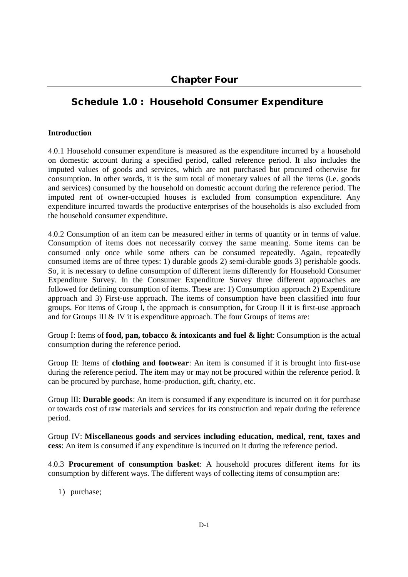# **Schedule 1.0 : Household Consumer Expenditure**

## **Introduction**

4.0.1 Household consumer expenditure is measured as the expenditure incurred by a household on domestic account during a specified period, called reference period. It also includes the imputed values of goods and services, which are not purchased but procured otherwise for consumption. In other words, it is the sum total of monetary values of all the items (i.e. goods and services) consumed by the household on domestic account during the reference period. The imputed rent of owner-occupied houses is excluded from consumption expenditure. Any expenditure incurred towards the productive enterprises of the households is also excluded from the household consumer expenditure.

4.0.2 Consumption of an item can be measured either in terms of quantity or in terms of value. Consumption of items does not necessarily convey the same meaning. Some items can be consumed only once while some others can be consumed repeatedly. Again, repeatedly consumed items are of three types: 1) durable goods 2) semi-durable goods 3) perishable goods. So, it is necessary to define consumption of different items differently for Household Consumer Expenditure Survey. In the Consumer Expenditure Survey three different approaches are followed for defining consumption of items. These are: 1) Consumption approach 2) Expenditure approach and 3) First-use approach. The items of consumption have been classified into four groups. For items of Group I, the approach is consumption, for Group II it is first-use approach and for Groups III & IV it is expenditure approach. The four Groups of items are:

Group I: Items of **food, pan, tobacco & intoxicants and fuel & light**: Consumption is the actual consumption during the reference period.

Group II: Items of **clothing and footwear**: An item is consumed if it is brought into first-use during the reference period. The item may or may not be procured within the reference period. It can be procured by purchase, home-production, gift, charity, etc.

Group III: **Durable goods**: An item is consumed if any expenditure is incurred on it for purchase or towards cost of raw materials and services for its construction and repair during the reference period.

Group IV: **Miscellaneous goods and services including education, medical, rent, taxes and cess**: An item is consumed if any expenditure is incurred on it during the reference period.

4.0.3 **Procurement of consumption basket**: A household procures different items for its consumption by different ways. The different ways of collecting items of consumption are:

1) purchase;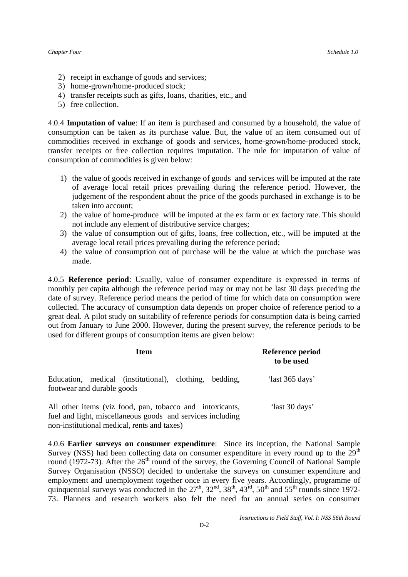- 2) receipt in exchange of goods and services;
- 3) home-grown/home-produced stock;
- 4) transfer receipts such as gifts, loans, charities, etc., and
- 5) free collection.

4.0.4 **Imputation of value**: If an item is purchased and consumed by a household, the value of consumption can be taken as its purchase value. But, the value of an item consumed out of commodities received in exchange of goods and services, home-grown/home-produced stock, transfer receipts or free collection requires imputation. The rule for imputation of value of consumption of commodities is given below:

- 1) the value of goods received in exchange of goods and services will be imputed at the rate of average local retail prices prevailing during the reference period. However, the judgement of the respondent about the price of the goods purchased in exchange is to be taken into account;
- 2) the value of home-produce will be imputed at the ex farm or ex factory rate. This should not include any element of distributive service charges;
- 3) the value of consumption out of gifts, loans, free collection, etc., will be imputed at the average local retail prices prevailing during the reference period;
- 4) the value of consumption out of purchase will be the value at which the purchase was made.

4.0.5 **Reference period**: Usually, value of consumer expenditure is expressed in terms of monthly per capita although the reference period may or may not be last 30 days preceding the date of survey. Reference period means the period of time for which data on consumption were collected. The accuracy of consumption data depends on proper choice of reference period to a great deal. A pilot study on suitability of reference periods for consumption data is being carried out from January to June 2000. However, during the present survey, the reference periods to be used for different groups of consumption items are given below:

| <b>Item</b>                                                                          | Reference period<br>to be used |  |
|--------------------------------------------------------------------------------------|--------------------------------|--|
| Education, medical (institutional), clothing, bedding,<br>footwear and durable goods | 'last 365 days'                |  |
| All other items (viz food, pan, tobacco and intoxicants,                             | 'last 30 days'                 |  |

fuel and light, miscellaneous goods and services including non-institutional medical, rents and taxes)

4.0.6 **Earlier surveys on consumer expenditure**: Since its inception, the National Sample Survey (NSS) had been collecting data on consumer expenditure in every round up to the  $29<sup>th</sup>$ round (1972-73). After the  $26<sup>th</sup>$  round of the survey, the Governing Council of National Sample Survey Organisation (NSSO) decided to undertake the surveys on consumer expenditure and employment and unemployment together once in every five years. Accordingly, programme of quinquennial surveys was conducted in the  $27<sup>th</sup>$ ,  $32<sup>nd</sup>$ ,  $38<sup>th</sup>$ ,  $43<sup>rd</sup>$ ,  $50<sup>th</sup>$  and  $55<sup>th</sup>$  rounds since 1972-73. Planners and research workers also felt the need for an annual series on consumer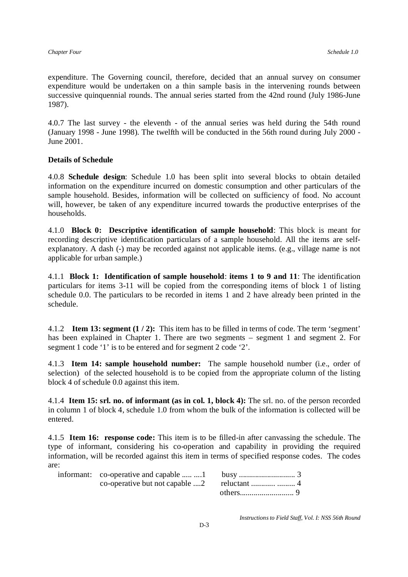expenditure. The Governing council, therefore, decided that an annual survey on consumer expenditure would be undertaken on a thin sample basis in the intervening rounds between successive quinquennial rounds. The annual series started from the 42nd round (July 1986-June 1987).

4.0.7 The last survey - the eleventh - of the annual series was held during the 54th round (January 1998 - June 1998). The twelfth will be conducted in the 56th round during July 2000 - June 2001.

## **Details of Schedule**

4.0.8 **Schedule design**: Schedule 1.0 has been split into several blocks to obtain detailed information on the expenditure incurred on domestic consumption and other particulars of the sample household. Besides, information will be collected on sufficiency of food. No account will, however, be taken of any expenditure incurred towards the productive enterprises of the households.

4.1.0 **Block 0: Descriptive identification of sample household**: This block is meant for recording descriptive identification particulars of a sample household. All the items are selfexplanatory. A dash (-) may be recorded against not applicable items. (e.g., village name is not applicable for urban sample.)

4.1.1 **Block 1: Identification of sample household**: **items 1 to 9 and 11**: The identification particulars for items 3-11 will be copied from the corresponding items of block 1 of listing schedule 0.0. The particulars to be recorded in items 1 and 2 have already been printed in the schedule.

4.1.2 **Item 13: segment (1 / 2):** This item has to be filled in terms of code. The term 'segment' has been explained in Chapter 1. There are two segments – segment 1 and segment 2. For segment 1 code '1' is to be entered and for segment 2 code '2'.

4.1.3 **Item 14: sample household number:** The sample household number (i.e., order of selection) of the selected household is to be copied from the appropriate column of the listing block 4 of schedule 0.0 against this item.

4.1.4 **Item 15: srl. no. of informant (as in col. 1, block 4):** The srl. no. of the person recorded in column 1 of block 4, schedule 1.0 from whom the bulk of the information is collected will be entered.

4.1.5 **Item 16: response code:** This item is to be filled-in after canvassing the schedule. The type of informant, considering his co-operation and capability in providing the required information, will be recorded against this item in terms of specified response codes. The codes are:

*Instructions to Field Staff, Vol. I: NSS 56th Round*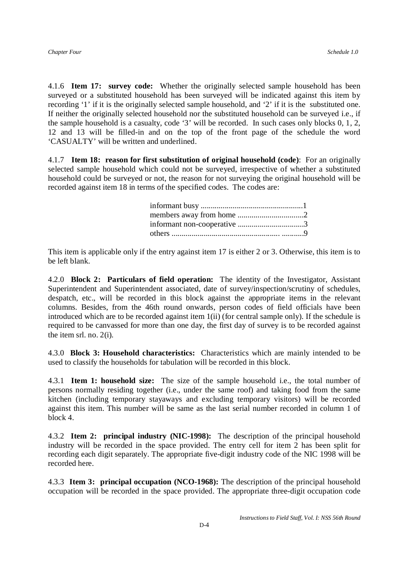4.1.6 **Item 17: survey code:** Whether the originally selected sample household has been surveyed or a substituted household has been surveyed will be indicated against this item by recording '1' if it is the originally selected sample household, and '2' if it is the substituted one. If neither the originally selected household nor the substituted household can be surveyed i.e., if the sample household is a casualty, code '3' will be recorded. In such cases only blocks 0, 1, 2, 12 and 13 will be filled-in and on the top of the front page of the schedule the word 'CASUALTY' will be written and underlined.

4.1.7 **Item 18: reason for first substitution of original household (code)**: For an originally selected sample household which could not be surveyed, irrespective of whether a substituted household could be surveyed or not, the reason for not surveying the original household will be recorded against item 18 in terms of the specified codes. The codes are:

| informant non-cooperative 3 |  |
|-----------------------------|--|
|                             |  |

This item is applicable only if the entry against item 17 is either 2 or 3. Otherwise, this item is to be left blank.

4.2.0 **Block 2: Particulars of field operation:** The identity of the Investigator, Assistant Superintendent and Superintendent associated, date of survey/inspection/scrutiny of schedules, despatch, etc., will be recorded in this block against the appropriate items in the relevant columns. Besides, from the 46th round onwards, person codes of field officials have been introduced which are to be recorded against item 1(ii) (for central sample only). If the schedule is required to be canvassed for more than one day, the first day of survey is to be recorded against the item srl. no. 2(i).

4.3.0 **Block 3: Household characteristics:** Characteristics which are mainly intended to be used to classify the households for tabulation will be recorded in this block.

4.3.1 **Item 1: household size:** The size of the sample household i.e., the total number of persons normally residing together (i.e., under the same roof) and taking food from the same kitchen (including temporary stayaways and excluding temporary visitors) will be recorded against this item. This number will be same as the last serial number recorded in column 1 of block 4.

4.3.2 **Item 2: principal industry (NIC-1998):** The description of the principal household industry will be recorded in the space provided. The entry cell for item 2 has been split for recording each digit separately. The appropriate five-digit industry code of the NIC 1998 will be recorded here.

4.3.3 **Item 3: principal occupation (NCO-1968):** The description of the principal household occupation will be recorded in the space provided. The appropriate three-digit occupation code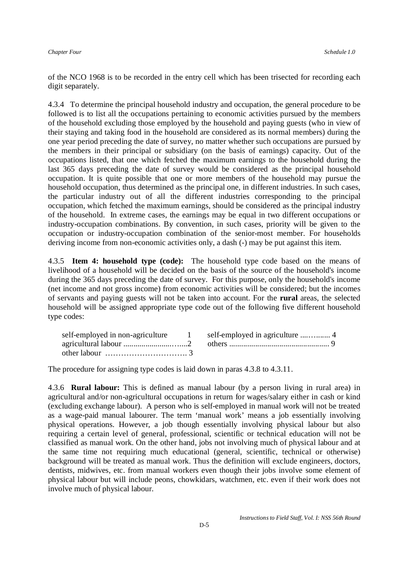of the NCO 1968 is to be recorded in the entry cell which has been trisected for recording each digit separately.

4.3.4 To determine the principal household industry and occupation, the general procedure to be followed is to list all the occupations pertaining to economic activities pursued by the members of the household excluding those employed by the household and paying guests (who in view of their staying and taking food in the household are considered as its normal members) during the one year period preceding the date of survey, no matter whether such occupations are pursued by the members in their principal or subsidiary (on the basis of earnings) capacity. Out of the occupations listed, that one which fetched the maximum earnings to the household during the last 365 days preceding the date of survey would be considered as the principal household occupation. It is quite possible that one or more members of the household may pursue the household occupation, thus determined as the principal one, in different industries. In such cases, the particular industry out of all the different industries corresponding to the principal occupation, which fetched the maximum earnings, should be considered as the principal industry of the household. In extreme cases, the earnings may be equal in two different occupations or industry-occupation combinations. By convention, in such cases, priority will be given to the occupation or industry-occupation combination of the senior-most member. For households deriving income from non-economic activities only, a dash (-) may be put against this item.

4.3.5 **Item 4: household type (code):** The household type code based on the means of livelihood of a household will be decided on the basis of the source of the household's income during the 365 days preceding the date of survey. For this purpose, only the household's income (net income and not gross income) from economic activities will be considered; but the incomes of servants and paying guests will not be taken into account. For the **rural** areas, the selected household will be assigned appropriate type code out of the following five different household type codes:

| self-employed in non-agriculture                                  | $\sim$ 1 $\sim$ |  |
|-------------------------------------------------------------------|-----------------|--|
|                                                                   |                 |  |
| other labour $\dots\dots\dots\dots\dots\dots\dots\dots\dots\dots$ |                 |  |

The procedure for assigning type codes is laid down in paras 4.3.8 to 4.3.11.

4.3.6 **Rural labour:** This is defined as manual labour (by a person living in rural area) in agricultural and/or non-agricultural occupations in return for wages/salary either in cash or kind (excluding exchange labour). A person who is self-employed in manual work will not be treated as a wage-paid manual labourer. The term 'manual work' means a job essentially involving physical operations. However, a job though essentially involving physical labour but also requiring a certain level of general, professional, scientific or technical education will not be classified as manual work. On the other hand, jobs not involving much of physical labour and at the same time not requiring much educational (general, scientific, technical or otherwise) background will be treated as manual work. Thus the definition will exclude engineers, doctors, dentists, midwives, etc. from manual workers even though their jobs involve some element of physical labour but will include peons, chowkidars, watchmen, etc. even if their work does not involve much of physical labour.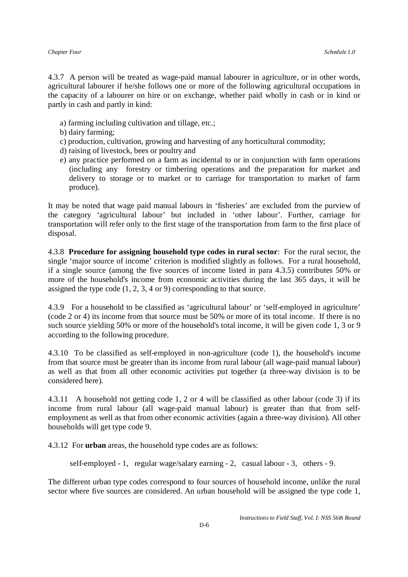4.3.7 A person will be treated as wage-paid manual labourer in agriculture, or in other words, agricultural labourer if he/she follows one or more of the following agricultural occupations in the capacity of a labourer on hire or on exchange, whether paid wholly in cash or in kind or partly in cash and partly in kind:

- a) farming including cultivation and tillage, etc.;
- b) dairy farming;
- c) production, cultivation, growing and harvesting of any horticultural commodity;
- d) raising of livestock, bees or poultry and
- e) any practice performed on a farm as incidental to or in conjunction with farm operations (including any forestry or timbering operations and the preparation for market and delivery to storage or to market or to carriage for transportation to market of farm produce).

It may be noted that wage paid manual labours in 'fisheries' are excluded from the purview of the category 'agricultural labour' but included in 'other labour'. Further, carriage for transportation will refer only to the first stage of the transportation from farm to the first place of disposal.

4.3.8 **Procedure for assigning household type codes in rural sector**: For the rural sector, the single 'major source of income' criterion is modified slightly as follows. For a rural household, if a single source (among the five sources of income listed in para 4.3.5) contributes 50% or more of the household's income from economic activities during the last 365 days, it will be assigned the type code (1, 2, 3, 4 or 9) corresponding to that source.

4.3.9 For a household to be classified as 'agricultural labour' or 'self-employed in agriculture' (code 2 or 4) its income from that source must be 50% or more of its total income. If there is no such source yielding 50% or more of the household's total income, it will be given code 1, 3 or 9 according to the following procedure.

4.3.10 To be classified as self-employed in non-agriculture (code 1), the household's income from that source must be greater than its income from rural labour (all wage-paid manual labour) as well as that from all other economic activities put together (a three-way division is to be considered here).

4.3.11 A household not getting code 1, 2 or 4 will be classified as other labour (code 3) if its income from rural labour (all wage-paid manual labour) is greater than that from selfemployment as well as that from other economic activities (again a three-way division). All other households will get type code 9.

4.3.12 For **urban** areas, the household type codes are as follows:

self-employed - 1, regular wage/salary earning - 2, casual labour - 3, others - 9.

The different urban type codes correspond to four sources of household income, unlike the rural sector where five sources are considered. An urban household will be assigned the type code 1,

*Instructions to Field Staff, Vol. I: NSS 56th Round*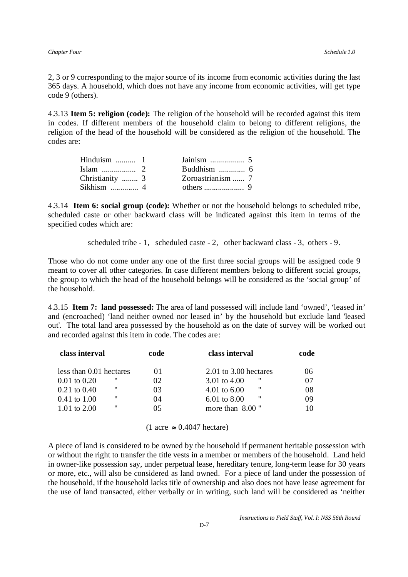2, 3 or 9 corresponding to the major source of its income from economic activities during the last 365 days. A household, which does not have any income from economic activities, will get type code 9 (others).

4.3.13 **Item 5: religion (code):** The religion of the household will be recorded against this item in codes. If different members of the household claim to belong to different religions, the religion of the head of the household will be considered as the religion of the household. The codes are:

| Hinduism $\dots \dots \dots 1$ |                   |  |
|--------------------------------|-------------------|--|
|                                |                   |  |
| Christianity  3                |                   |  |
| Sikhism $\ldots$ 4             | others $\ldots$ 9 |  |

4.3.14 **Item 6: social group (code):** Whether or not the household belongs to scheduled tribe, scheduled caste or other backward class will be indicated against this item in terms of the specified codes which are:

scheduled tribe - 1, scheduled caste - 2, other backward class - 3, others - 9.

Those who do not come under any one of the first three social groups will be assigned code 9 meant to cover all other categories. In case different members belong to different social groups, the group to which the head of the household belongs will be considered as the 'social group' of the household.

4.3.15 **Item 7: land possessed:** The area of land possessed will include land 'owned', 'leased in' and (encroached) 'land neither owned nor leased in' by the household but exclude land 'leased out'. The total land area possessed by the household as on the date of survey will be worked out and recorded against this item in code. The codes are:

| class interval               | code | class interval               | code |
|------------------------------|------|------------------------------|------|
| less than 0.01 hectares      | 01   | $2.01$ to 3.00 hectares      | 06   |
| "<br>$0.01 \text{ to } 0.20$ | 02   | - 11<br>3.01 to 4.00         |      |
| "<br>$0.21$ to $0.40$        | 03   | "<br>4.01 to $6.00$          | 08   |
| "<br>$0.41 \text{ to } 1.00$ | 04   | "<br>$6.01 \text{ to } 8.00$ | 09   |
| ,,<br>1.01 to $2.00$         | 05   | more than $8.00$ "           |      |
|                              |      |                              |      |

 $(1 \text{ acre} \approx 0.4047 \text{ hectare})$ 

A piece of land is considered to be owned by the household if permanent heritable possession with or without the right to transfer the title vests in a member or members of the household. Land held in owner-like possession say, under perpetual lease, hereditary tenure, long-term lease for 30 years or more, etc., will also be considered as land owned. For a piece of land under the possession of the household, if the household lacks title of ownership and also does not have lease agreement for the use of land transacted, either verbally or in writing, such land will be considered as 'neither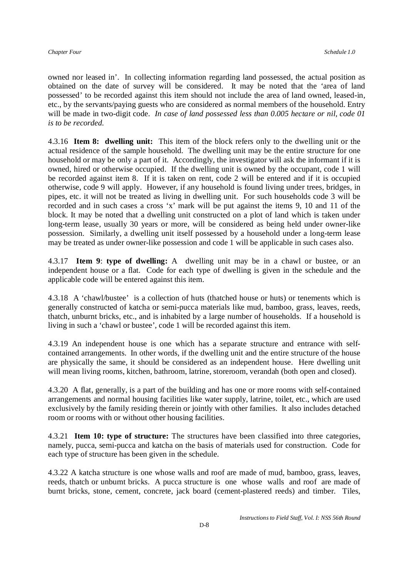owned nor leased in'. In collecting information regarding land possessed, the actual position as obtained on the date of survey will be considered. It may be noted that the 'area of land possessed' to be recorded against this item should not include the area of land owned, leased-in, etc., by the servants/paying guests who are considered as normal members of the household. Entry will be made in two-digit code. *In case of land possessed less than 0.005 hectare or nil, code 01 is to be recorded.*

4.3.16 **Item 8: dwelling unit:** This item of the block refers only to the dwelling unit or the actual residence of the sample household. The dwelling unit may be the entire structure for one household or may be only a part of it. Accordingly, the investigator will ask the informant if it is owned, hired or otherwise occupied. If the dwelling unit is owned by the occupant, code 1 will be recorded against item 8. If it is taken on rent, code 2 will be entered and if it is occupied otherwise, code 9 will apply. However, if any household is found living under trees, bridges, in pipes, etc. it will not be treated as living in dwelling unit. For such households code 3 will be recorded and in such cases a cross 'x' mark will be put against the items 9, 10 and 11 of the block. It may be noted that a dwelling unit constructed on a plot of land which is taken under long-term lease, usually 30 years or more, will be considered as being held under owner-like possession. Similarly, a dwelling unit itself possessed by a household under a long-term lease may be treated as under owner-like possession and code 1 will be applicable in such cases also.

4.3.17 **Item 9**: **type of dwelling:** A dwelling unit may be in a chawl or bustee, or an independent house or a flat. Code for each type of dwelling is given in the schedule and the applicable code will be entered against this item.

4.3.18 A 'chawl/bustee' is a collection of huts (thatched house or huts) or tenements which is generally constructed of katcha or semi-pucca materials like mud, bamboo, grass, leaves, reeds, thatch, unburnt bricks, etc., and is inhabited by a large number of households. If a household is living in such a 'chawl or bustee', code 1 will be recorded against this item.

4.3.19 An independent house is one which has a separate structure and entrance with selfcontained arrangements. In other words, if the dwelling unit and the entire structure of the house are physically the same, it should be considered as an independent house. Here dwelling unit will mean living rooms, kitchen, bathroom, latrine, storeroom, verandah (both open and closed).

4.3.20 A flat, generally, is a part of the building and has one or more rooms with self-contained arrangements and normal housing facilities like water supply, latrine, toilet, etc., which are used exclusively by the family residing therein or jointly with other families. It also includes detached room or rooms with or without other housing facilities.

4.3.21 **Item 10: type of structure:** The structures have been classified into three categories, namely, pucca, semi-pucca and katcha on the basis of materials used for construction. Code for each type of structure has been given in the schedule.

4.3.22 A katcha structure is one whose walls and roof are made of mud, bamboo, grass, leaves, reeds, thatch or unburnt bricks. A pucca structure is one whose walls and roof are made of burnt bricks, stone, cement, concrete, jack board (cement-plastered reeds) and timber. Tiles,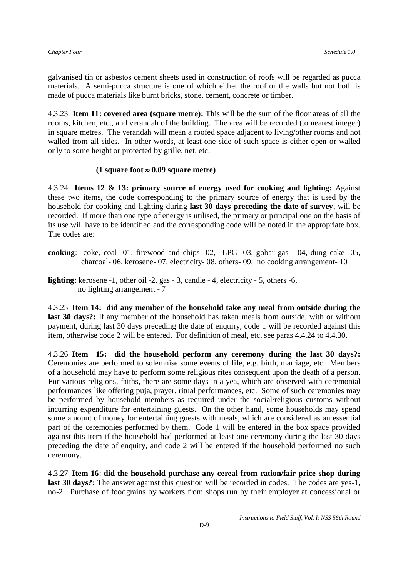galvanised tin or asbestos cement sheets used in construction of roofs will be regarded as pucca materials. A semi-pucca structure is one of which either the roof or the walls but not both is made of pucca materials like burnt bricks, stone, cement, concrete or timber.

4.3.23 **Item 11: covered area (square metre):** This will be the sum of the floor areas of all the rooms, kitchen, etc., and verandah of the building. The area will be recorded (to nearest integer) in square metres. The verandah will mean a roofed space adjacent to living/other rooms and not walled from all sides. In other words, at least one side of such space is either open or walled only to some height or protected by grille, net, etc.

### **(1 square foot**  $\approx 0.09$  **square metre)**

4.3.24 **Items 12 & 13: primary source of energy used for cooking and lighting:** Against these two items, the code corresponding to the primary source of energy that is used by the household for cooking and lighting during **last 30 days preceding the date of survey**, will be recorded. If more than one type of energy is utilised, the primary or principal one on the basis of its use will have to be identified and the corresponding code will be noted in the appropriate box. The codes are:

- **cooking**: coke, coal- 01, firewood and chips- 02, LPG- 03, gobar gas 04, dung cake- 05, charcoal- 06, kerosene- 07, electricity- 08, others- 09, no cooking arrangement- 10
- **lighting**: kerosene -1, other oil -2, gas 3, candle 4, electricity 5, others -6, no lighting arrangement - 7

4.3.25 **Item 14: did any member of the household take any meal from outside during the last 30 days?:** If any member of the household has taken meals from outside, with or without payment, during last 30 days preceding the date of enquiry, code 1 will be recorded against this item, otherwise code 2 will be entered. For definition of meal, etc. see paras 4.4.24 to 4.4.30.

4.3.26 **Item 15: did the household perform any ceremony during the last 30 days?:**  Ceremonies are performed to solemnise some events of life, e.g. birth, marriage, etc. Members of a household may have to perform some religious rites consequent upon the death of a person. For various religions, faiths, there are some days in a yea, which are observed with ceremonial performances like offering puja, prayer, ritual performances, etc. Some of such ceremonies may be performed by household members as required under the social/religious customs without incurring expenditure for entertaining guests. On the other hand, some households may spend some amount of money for entertaining guests with meals, which are considered as an essential part of the ceremonies performed by them. Code 1 will be entered in the box space provided against this item if the household had performed at least one ceremony during the last 30 days preceding the date of enquiry, and code 2 will be entered if the household performed no such ceremony.

4.3.27 **Item 16**: **did the household purchase any cereal from ration/fair price shop during last 30 days?:** The answer against this question will be recorded in codes. The codes are yes-1, no-2. Purchase of foodgrains by workers from shops run by their employer at concessional or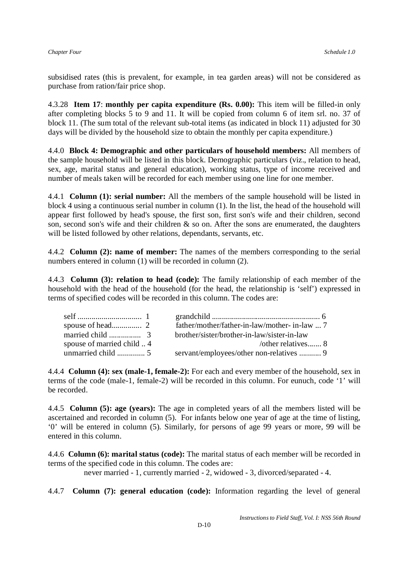subsidised rates (this is prevalent, for example, in tea garden areas) will not be considered as purchase from ration/fair price shop.

4.3.28 **Item 17**: **monthly per capita expenditure (Rs. 0.00):** This item will be filled-in only after completing blocks 5 to 9 and 11. It will be copied from column 6 of item srl. no. 37 of block 11. (The sum total of the relevant sub-total items (as indicated in block 11) adjusted for 30 days will be divided by the household size to obtain the monthly per capita expenditure.)

4.4.0 **Block 4: Demographic and other particulars of household members:** All members of the sample household will be listed in this block. Demographic particulars (viz., relation to head, sex, age, marital status and general education), working status, type of income received and number of meals taken will be recorded for each member using one line for one member.

4.4.1 **Column (1): serial number:** All the members of the sample household will be listed in block 4 using a continuous serial number in column (1). In the list, the head of the household will appear first followed by head's spouse, the first son, first son's wife and their children, second son, second son's wife and their children  $\&$  so on. After the sons are enumerated, the daughters will be listed followed by other relations, dependants, servants, etc.

4.4.2 **Column (2): name of member:** The names of the members corresponding to the serial numbers entered in column (1) will be recorded in column (2).

4.4.3 **Column (3): relation to head (code):** The family relationship of each member of the household with the head of the household (for the head, the relationship is 'self') expressed in terms of specified codes will be recorded in this column. The codes are:

|                          | father/mother/father-in-law/mother-in-law  7 |
|--------------------------|----------------------------------------------|
|                          | brother/sister/brother-in-law/sister-in-law  |
| spouse of married child4 | /other relatives $8$                         |
|                          | servant/employees/other non-relatives  9     |

4.4.4 **Column (4): sex (male-1, female-2):** For each and every member of the household, sex in terms of the code (male-1, female-2) will be recorded in this column. For eunuch, code '1' will be recorded.

4.4.5 **Column (5): age (years):** The age in completed years of all the members listed will be ascertained and recorded in column (5). For infants below one year of age at the time of listing, '0' will be entered in column (5). Similarly, for persons of age 99 years or more, 99 will be entered in this column.

4.4.6 **Column (6): marital status (code):** The marital status of each member will be recorded in terms of the specified code in this column. The codes are:

never married - 1, currently married - 2, widowed - 3, divorced/separated - 4.

4.4.7 **Column (7): general education (code):** Information regarding the level of general

*Instructions to Field Staff, Vol. I: NSS 56th Round*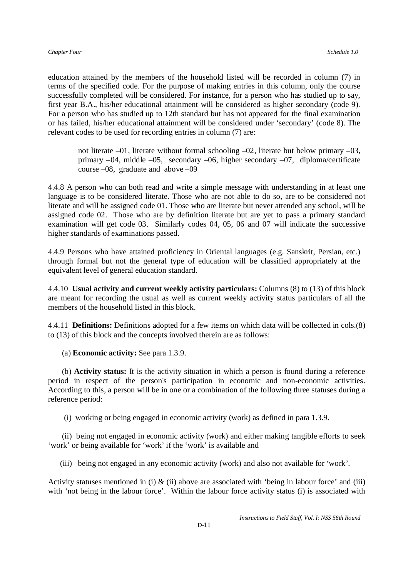education attained by the members of the household listed will be recorded in column (7) in terms of the specified code. For the purpose of making entries in this column, only the course successfully completed will be considered. For instance, for a person who has studied up to say, first year B.A., his/her educational attainment will be considered as higher secondary (code 9). For a person who has studied up to 12th standard but has not appeared for the final examination or has failed, his/her educational attainment will be considered under 'secondary' (code 8). The relevant codes to be used for recording entries in column (7) are:

not literate –01, literate without formal schooling –02, literate but below primary –03, primary –04, middle –05, secondary –06, higher secondary –07, diploma/certificate course –08, graduate and above –09

4.4.8 A person who can both read and write a simple message with understanding in at least one language is to be considered literate. Those who are not able to do so, are to be considered not literate and will be assigned code 01. Those who are literate but never attended any school, will be assigned code 02. Those who are by definition literate but are yet to pass a primary standard examination will get code 03. Similarly codes 04, 05, 06 and 07 will indicate the successive higher standards of examinations passed.

4.4.9 Persons who have attained proficiency in Oriental languages (e.g. Sanskrit, Persian, etc.) through formal but not the general type of education will be classified appropriately at the equivalent level of general education standard.

4.4.10 **Usual activity and current weekly activity particulars:** Columns (8) to (13) of this block are meant for recording the usual as well as current weekly activity status particulars of all the members of the household listed in this block.

4.4.11 **Definitions:** Definitions adopted for a few items on which data will be collected in cols.(8) to (13) of this block and the concepts involved therein are as follows:

(a) **Economic activity:** See para 1.3.9.

 (b) **Activity status:** It is the activity situation in which a person is found during a reference period in respect of the person's participation in economic and non-economic activities. According to this, a person will be in one or a combination of the following three statuses during a reference period:

(i) working or being engaged in economic activity (work) as defined in para 1.3.9.

 (ii) being not engaged in economic activity (work) and either making tangible efforts to seek 'work' or being available for 'work' if the 'work' is available and

(iii) being not engaged in any economic activity (work) and also not available for 'work'.

Activity statuses mentioned in (i)  $\&$  (ii) above are associated with 'being in labour force' and (iii) with 'not being in the labour force'. Within the labour force activity status (i) is associated with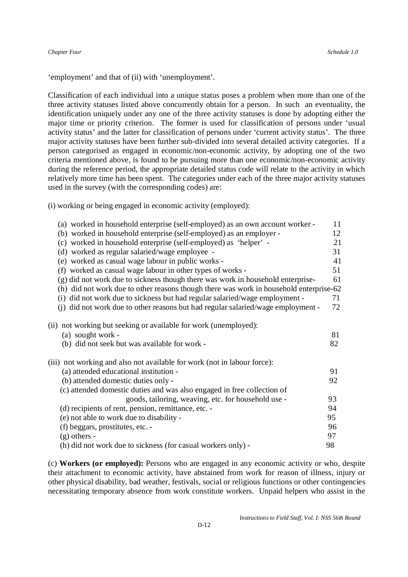'employment' and that of (ii) with 'unemployment'.

Classification of each individual into a unique status poses a problem when more than one of the three activity statuses listed above concurrently obtain for a person. In such an eventuality, the identification uniquely under any one of the three activity statuses is done by adopting either the major time or priority criterion. The former is used for classification of persons under 'usual activity status' and the latter for classification of persons under 'current activity status'. The three major activity statuses have been further sub-divided into several detailed activity categories. If a person categorised as engaged in economic/non-economic activity, by adopting one of the two criteria mentioned above, is found to be pursuing more than one economic/non-economic activity during the reference period, the appropriate detailed status code will relate to the activity in which relatively more time has been spent. The categories under each of the three major activity statuses used in the survey (with the corresponding codes) are:

(i) working or being engaged in economic activity (employed):

| (a) worked in household enterprise (self-employed) as an own account worker -                                                          | 11       |
|----------------------------------------------------------------------------------------------------------------------------------------|----------|
| (b) worked in household enterprise (self-employed) as an employer -                                                                    | 12       |
| (c) worked in household enterprise (self-employed) as 'helper' -                                                                       | 21       |
| (d) worked as regular salaried/wage employee -                                                                                         | 31       |
| (e) worked as casual wage labour in public works -                                                                                     | 41       |
| (f) worked as casual wage labour in other types of works -                                                                             | 51       |
| (g) did not work due to sickness though there was work in household enterprise-                                                        | 61       |
| (h) did not work due to other reasons though there was work in household enterprise-62                                                 |          |
| (i) did not work due to sickness but had regular salaried/wage employment -                                                            | 71       |
| (j) did not work due to other reasons but had regular salaried/wage employment -                                                       | 72       |
| (ii) not working but seeking or available for work (unemployed):<br>(a) sought work -<br>(b) did not seek but was available for work - | 81<br>82 |
| (iii) not working and also not available for work (not in labour force):                                                               |          |
| (a) attended educational institution -                                                                                                 | 91       |
| (b) attended domestic duties only -                                                                                                    | 92       |
| (c) attended domestic duties and was also engaged in free collection of                                                                |          |
| goods, tailoring, weaving, etc. for household use -                                                                                    | 93       |
| (d) recipients of rent, pension, remittance, etc. -                                                                                    | 94       |
| (e) not able to work due to disability -                                                                                               | 95       |
| (f) beggars, prostitutes, etc. -                                                                                                       | 96       |
| $(g)$ others -                                                                                                                         | 97       |
| (h) did not work due to sickness (for casual workers only) -                                                                           | 98       |
|                                                                                                                                        |          |

(c) **Workers (or employed):** Persons who are engaged in any economic activity or who, despite their attachment to economic activity, have abstained from work for reason of illness, injury or other physical disability, bad weather, festivals, social or religious functions or other contingencies necessitating temporary absence from work constitute workers. Unpaid helpers who assist in the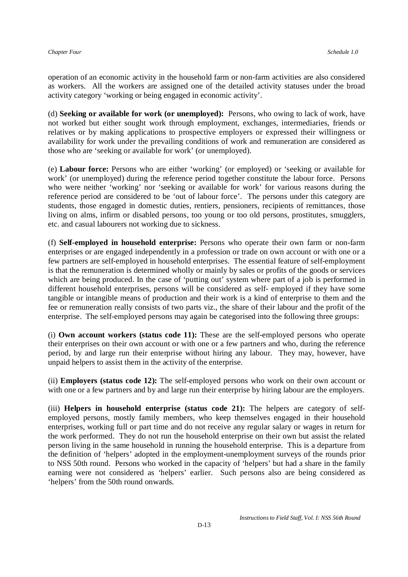operation of an economic activity in the household farm or non-farm activities are also considered as workers. All the workers are assigned one of the detailed activity statuses under the broad activity category 'working or being engaged in economic activity'.

(d) **Seeking or available for work (or unemployed):** Persons, who owing to lack of work, have not worked but either sought work through employment, exchanges, intermediaries, friends or relatives or by making applications to prospective employers or expressed their willingness or availability for work under the prevailing conditions of work and remuneration are considered as those who are 'seeking or available for work' (or unemployed).

(e) **Labour force:** Persons who are either 'working' (or employed) or 'seeking or available for work' (or unemployed) during the reference period together constitute the labour force. Persons who were neither 'working' nor 'seeking or available for work' for various reasons during the reference period are considered to be 'out of labour force'. The persons under this category are students, those engaged in domestic duties, rentiers, pensioners, recipients of remittances, those living on alms, infirm or disabled persons, too young or too old persons, prostitutes, smugglers, etc. and casual labourers not working due to sickness.

(f) **Self-employed in household enterprise:** Persons who operate their own farm or non-farm enterprises or are engaged independently in a profession or trade on own account or with one or a few partners are self-employed in household enterprises. The essential feature of self-employment is that the remuneration is determined wholly or mainly by sales or profits of the goods or services which are being produced. In the case of 'putting out' system where part of a job is performed in different household enterprises, persons will be considered as self- employed if they have some tangible or intangible means of production and their work is a kind of enterprise to them and the fee or remuneration really consists of two parts viz., the share of their labour and the profit of the enterprise. The self-employed persons may again be categorised into the following three groups:

(i) **Own account workers (status code 11):** These are the self-employed persons who operate their enterprises on their own account or with one or a few partners and who, during the reference period, by and large run their enterprise without hiring any labour. They may, however, have unpaid helpers to assist them in the activity of the enterprise.

(ii) **Employers (status code 12):** The self-employed persons who work on their own account or with one or a few partners and by and large run their enterprise by hiring labour are the employers.

(iii) **Helpers in household enterprise (status code 21):** The helpers are category of selfemployed persons, mostly family members, who keep themselves engaged in their household enterprises, working full or part time and do not receive any regular salary or wages in return for the work performed. They do not run the household enterprise on their own but assist the related person living in the same household in running the household enterprise. This is a departure from the definition of 'helpers' adopted in the employment-unemployment surveys of the rounds prior to NSS 50th round. Persons who worked in the capacity of 'helpers' but had a share in the family earning were not considered as 'helpers' earlier. Such persons also are being considered as 'helpers' from the 50th round onwards.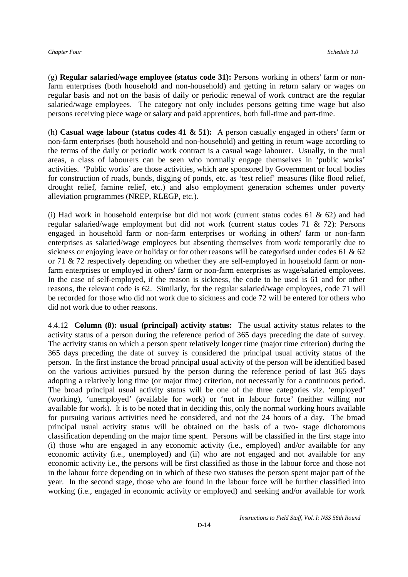(g) **Regular salaried/wage employee (status code 31):** Persons working in others' farm or nonfarm enterprises (both household and non-household) and getting in return salary or wages on regular basis and not on the basis of daily or periodic renewal of work contract are the regular salaried/wage employees. The category not only includes persons getting time wage but also persons receiving piece wage or salary and paid apprentices, both full-time and part-time.

(h) **Casual wage labour (status codes 41 & 51):** A person casually engaged in others' farm or non-farm enterprises (both household and non-household) and getting in return wage according to the terms of the daily or periodic work contract is a casual wage labourer. Usually, in the rural areas, a class of labourers can be seen who normally engage themselves in 'public works' activities. 'Public works' are those activities, which are sponsored by Government or local bodies for construction of roads, bunds, digging of ponds, etc. as 'test relief' measures (like flood relief, drought relief, famine relief, etc.) and also employment generation schemes under poverty alleviation programmes (NREP, RLEGP, etc.).

(i) Had work in household enterprise but did not work (current status codes  $61 \& 62$ ) and had regular salaried/wage employment but did not work (current status codes 71 & 72): Persons engaged in household farm or non-farm enterprises or working in others' farm or non-farm enterprises as salaried/wage employees but absenting themselves from work temporarily due to sickness or enjoying leave or holiday or for other reasons will be categorised under codes 61  $\&$  62 or 71 & 72 respectively depending on whether they are self-employed in household farm or nonfarm enterprises or employed in others' farm or non-farm enterprises as wage/salaried employees. In the case of self-employed, if the reason is sickness, the code to be used is 61 and for other reasons, the relevant code is 62. Similarly, for the regular salaried/wage employees, code 71 will be recorded for those who did not work due to sickness and code 72 will be entered for others who did not work due to other reasons.

4.4.12 **Column (8): usual (principal) activity status:** The usual activity status relates to the activity status of a person during the reference period of 365 days preceding the date of survey. The activity status on which a person spent relatively longer time (major time criterion) during the 365 days preceding the date of survey is considered the principal usual activity status of the person. In the first instance the broad principal usual activity of the person will be identified based on the various activities pursued by the person during the reference period of last 365 days adopting a relatively long time (or major time) criterion, not necessarily for a continuous period. The broad principal usual activity status will be one of the three categories viz. 'employed' (working), 'unemployed' (available for work) or 'not in labour force' (neither willing nor available for work). It is to be noted that in deciding this, only the normal working hours available for pursuing various activities need be considered, and not the 24 hours of a day. The broad principal usual activity status will be obtained on the basis of a two- stage dichotomous classification depending on the major time spent. Persons will be classified in the first stage into (i) those who are engaged in any economic activity (i.e., employed) and/or available for any economic activity (i.e., unemployed) and (ii) who are not engaged and not available for any economic activity i.e., the persons will be first classified as those in the labour force and those not in the labour force depending on in which of these two statuses the person spent major part of the year. In the second stage, those who are found in the labour force will be further classified into working (i.e., engaged in economic activity or employed) and seeking and/or available for work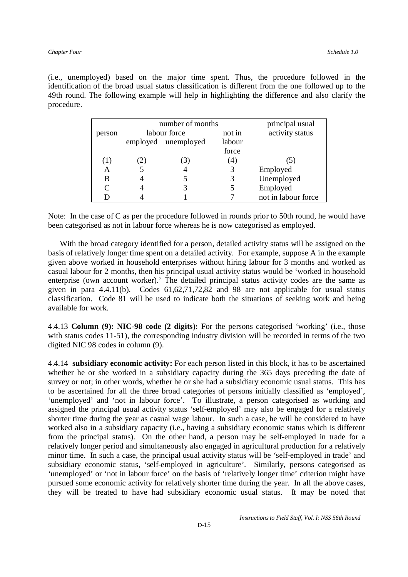(i.e., unemployed) based on the major time spent. Thus, the procedure followed in the identification of the broad usual status classification is different from the one followed up to the 49th round. The following example will help in highlighting the difference and also clarify the procedure.

|        | number of months |                     |        | principal usual     |
|--------|------------------|---------------------|--------|---------------------|
| person | labour force     |                     | not in | activity status     |
|        |                  | employed unemployed | labour |                     |
|        |                  |                     | force  |                     |
|        |                  | (3)                 | (4)    | (5)                 |
| A      |                  |                     |        | Employed            |
| B      |                  |                     |        | Unemployed          |
|        |                  | 3                   |        | Employed            |
|        |                  |                     |        | not in labour force |

Note: In the case of C as per the procedure followed in rounds prior to 50th round, he would have been categorised as not in labour force whereas he is now categorised as employed.

 With the broad category identified for a person, detailed activity status will be assigned on the basis of relatively longer time spent on a detailed activity. For example, suppose A in the example given above worked in household enterprises without hiring labour for 3 months and worked as casual labour for 2 months, then his principal usual activity status would be 'worked in household enterprise (own account worker).' The detailed principal status activity codes are the same as given in para  $4.4.11(b)$ . Codes  $61,62,71,72,82$  and 98 are not applicable for usual status classification. Code 81 will be used to indicate both the situations of seeking work and being available for work.

4.4.13 **Column (9): NIC-98 code (2 digits):** For the persons categorised 'working' (i.e., those with status codes 11-51), the corresponding industry division will be recorded in terms of the two digited NIC 98 codes in column (9).

4.4.14 **subsidiary economic activity:** For each person listed in this block, it has to be ascertained whether he or she worked in a subsidiary capacity during the 365 days preceding the date of survey or not; in other words, whether he or she had a subsidiary economic usual status. This has to be ascertained for all the three broad categories of persons initially classified as 'employed', 'unemployed' and 'not in labour force'. To illustrate, a person categorised as working and assigned the principal usual activity status 'self-employed' may also be engaged for a relatively shorter time during the year as casual wage labour. In such a case, he will be considered to have worked also in a subsidiary capacity (i.e., having a subsidiary economic status which is different from the principal status). On the other hand, a person may be self-employed in trade for a relatively longer period and simultaneously also engaged in agricultural production for a relatively minor time. In such a case, the principal usual activity status will be 'self-employed in trade' and subsidiary economic status, 'self-employed in agriculture'. Similarly, persons categorised as 'unemployed' or 'not in labour force' on the basis of 'relatively longer time' criterion might have pursued some economic activity for relatively shorter time during the year. In all the above cases, they will be treated to have had subsidiary economic usual status. It may be noted that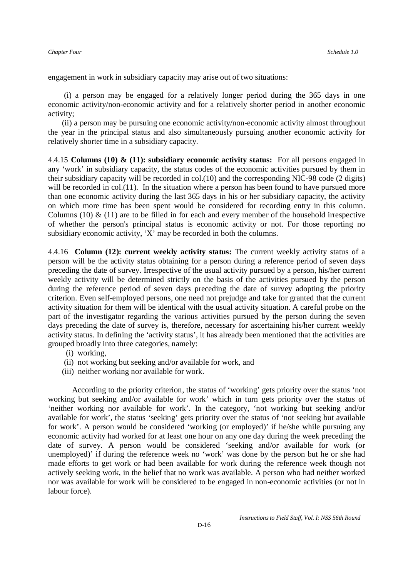engagement in work in subsidiary capacity may arise out of two situations:

 (i) a person may be engaged for a relatively longer period during the 365 days in one economic activity/non-economic activity and for a relatively shorter period in another economic activity;

 (ii) a person may be pursuing one economic activity/non-economic activity almost throughout the year in the principal status and also simultaneously pursuing another economic activity for relatively shorter time in a subsidiary capacity.

4.4.15 **Columns (10) & (11): subsidiary economic activity status:** For all persons engaged in any 'work' in subsidiary capacity, the status codes of the economic activities pursued by them in their subsidiary capacity will be recorded in col.(10) and the corresponding NIC-98 code (2 digits) will be recorded in col.(11). In the situation where a person has been found to have pursued more than one economic activity during the last 365 days in his or her subsidiary capacity, the activity on which more time has been spent would be considered for recording entry in this column. Columns (10)  $\&$  (11) are to be filled in for each and every member of the household irrespective of whether the person's principal status is economic activity or not. For those reporting no subsidiary economic activity, 'X' may be recorded in both the columns.

4.4.16 **Column (12): current weekly activity status:** The current weekly activity status of a person will be the activity status obtaining for a person during a reference period of seven days preceding the date of survey. Irrespective of the usual activity pursued by a person, his/her current weekly activity will be determined strictly on the basis of the activities pursued by the person during the reference period of seven days preceding the date of survey adopting the priority criterion. Even self-employed persons, one need not prejudge and take for granted that the current activity situation for them will be identical with the usual activity situation. A careful probe on the part of the investigator regarding the various activities pursued by the person during the seven days preceding the date of survey is, therefore, necessary for ascertaining his/her current weekly activity status. In defining the 'activity status', it has already been mentioned that the activities are grouped broadly into three categories, namely:

- (i) working,
- (ii) not working but seeking and/or available for work, and
- (iii) neither working nor available for work.

According to the priority criterion, the status of 'working' gets priority over the status 'not working but seeking and/or available for work' which in turn gets priority over the status of 'neither working nor available for work'. In the category, 'not working but seeking and/or available for work', the status 'seeking' gets priority over the status of 'not seeking but available for work'. A person would be considered 'working (or employed)' if he/she while pursuing any economic activity had worked for at least one hour on any one day during the week preceding the date of survey. A person would be considered 'seeking and/or available for work (or unemployed)' if during the reference week no 'work' was done by the person but he or she had made efforts to get work or had been available for work during the reference week though not actively seeking work, in the belief that no work was available. A person who had neither worked nor was available for work will be considered to be engaged in non-economic activities (or not in labour force).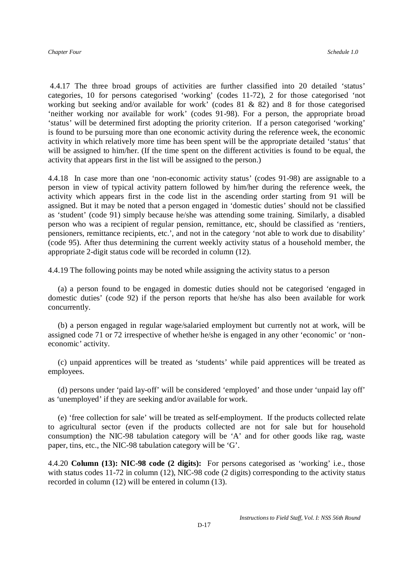4.4.17 The three broad groups of activities are further classified into 20 detailed 'status' categories, 10 for persons categorised 'working' (codes 11-72), 2 for those categorised 'not working but seeking and/or available for work' (codes 81 & 82) and 8 for those categorised 'neither working nor available for work' (codes 91-98). For a person, the appropriate broad 'status' will be determined first adopting the priority criterion. If a person categorised 'working' is found to be pursuing more than one economic activity during the reference week, the economic activity in which relatively more time has been spent will be the appropriate detailed 'status' that will be assigned to him/her. (If the time spent on the different activities is found to be equal, the activity that appears first in the list will be assigned to the person.)

4.4.18 In case more than one 'non-economic activity status' (codes 91-98) are assignable to a person in view of typical activity pattern followed by him/her during the reference week, the activity which appears first in the code list in the ascending order starting from 91 will be assigned. But it may be noted that a person engaged in 'domestic duties' should not be classified as 'student' (code 91) simply because he/she was attending some training. Similarly, a disabled person who was a recipient of regular pension, remittance, etc, should be classified as 'rentiers, pensioners, remittance recipients, etc.', and not in the category 'not able to work due to disability' (code 95). After thus determining the current weekly activity status of a household member, the appropriate 2-digit status code will be recorded in column (12).

4.4.19 The following points may be noted while assigning the activity status to a person

 (a) a person found to be engaged in domestic duties should not be categorised 'engaged in domestic duties' (code 92) if the person reports that he/she has also been available for work concurrently.

 (b) a person engaged in regular wage/salaried employment but currently not at work, will be assigned code 71 or 72 irrespective of whether he/she is engaged in any other 'economic' or 'noneconomic' activity.

 (c) unpaid apprentices will be treated as 'students' while paid apprentices will be treated as employees.

 (d) persons under 'paid lay-off' will be considered 'employed' and those under 'unpaid lay off' as 'unemployed' if they are seeking and/or available for work.

 (e) 'free collection for sale' will be treated as self-employment. If the products collected relate to agricultural sector (even if the products collected are not for sale but for household consumption) the NIC-98 tabulation category will be 'A' and for other goods like rag, waste paper, tins, etc., the NIC-98 tabulation category will be 'G'.

4.4.20 **Column (13): NIC-98 code (2 digits):** For persons categorised as 'working' i.e., those with status codes 11-72 in column (12), NIC-98 code (2 digits) corresponding to the activity status recorded in column (12) will be entered in column (13).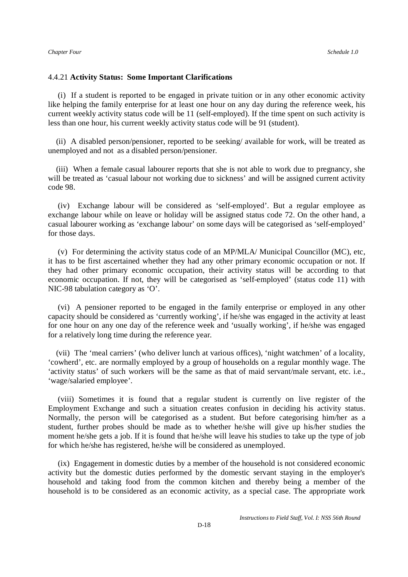#### 4.4.21 **Activity Status: Some Important Clarifications**

 (i) If a student is reported to be engaged in private tuition or in any other economic activity like helping the family enterprise for at least one hour on any day during the reference week, his current weekly activity status code will be 11 (self-employed). If the time spent on such activity is less than one hour, his current weekly activity status code will be 91 (student).

 (ii) A disabled person/pensioner, reported to be seeking/ available for work, will be treated as unemployed and not as a disabled person/pensioner.

 (iii) When a female casual labourer reports that she is not able to work due to pregnancy, she will be treated as 'casual labour not working due to sickness' and will be assigned current activity code 98.

 (iv) Exchange labour will be considered as 'self-employed'. But a regular employee as exchange labour while on leave or holiday will be assigned status code 72. On the other hand, a casual labourer working as 'exchange labour' on some days will be categorised as 'self-employed' for those days.

 (v) For determining the activity status code of an MP/MLA/ Municipal Councillor (MC), etc, it has to be first ascertained whether they had any other primary economic occupation or not. If they had other primary economic occupation, their activity status will be according to that economic occupation. If not, they will be categorised as 'self-employed' (status code 11) with NIC-98 tabulation category as 'O'.

 (vi) A pensioner reported to be engaged in the family enterprise or employed in any other capacity should be considered as 'currently working', if he/she was engaged in the activity at least for one hour on any one day of the reference week and 'usually working', if he/she was engaged for a relatively long time during the reference year.

 (vii) The 'meal carriers' (who deliver lunch at various offices), 'night watchmen' of a locality, 'cowherd', etc. are normally employed by a group of households on a regular monthly wage. The 'activity status' of such workers will be the same as that of maid servant/male servant, etc. i.e., 'wage/salaried employee'.

 (viii) Sometimes it is found that a regular student is currently on live register of the Employment Exchange and such a situation creates confusion in deciding his activity status. Normally, the person will be categorised as a student. But before categorising him/her as a student, further probes should be made as to whether he/she will give up his/her studies the moment he/she gets a job. If it is found that he/she will leave his studies to take up the type of job for which he/she has registered, he/she will be considered as unemployed.

 (ix) Engagement in domestic duties by a member of the household is not considered economic activity but the domestic duties performed by the domestic servant staying in the employer's household and taking food from the common kitchen and thereby being a member of the household is to be considered as an economic activity, as a special case. The appropriate work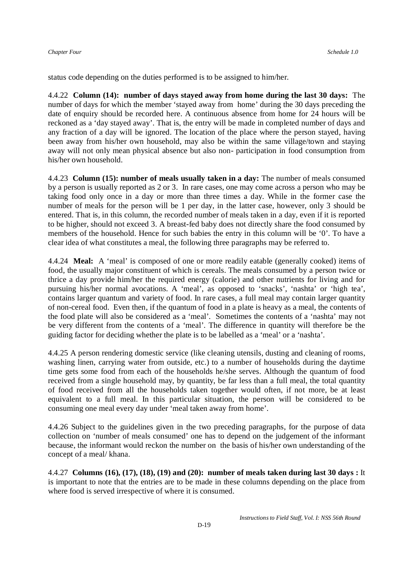status code depending on the duties performed is to be assigned to him/her.

4.4.22 **Column (14): number of days stayed away from home during the last 30 days:** The number of days for which the member 'stayed away from home' during the 30 days preceding the date of enquiry should be recorded here. A continuous absence from home for 24 hours will be reckoned as a 'day stayed away'. That is, the entry will be made in completed number of days and any fraction of a day will be ignored. The location of the place where the person stayed, having been away from his/her own household, may also be within the same village/town and staying away will not only mean physical absence but also non- participation in food consumption from his/her own household.

4.4.23 **Column (15): number of meals usually taken in a day:** The number of meals consumed by a person is usually reported as 2 or 3. In rare cases, one may come across a person who may be taking food only once in a day or more than three times a day. While in the former case the number of meals for the person will be 1 per day, in the latter case, however, only 3 should be entered. That is, in this column, the recorded number of meals taken in a day, even if it is reported to be higher, should not exceed 3. A breast-fed baby does not directly share the food consumed by members of the household. Hence for such babies the entry in this column will be '0'. To have a clear idea of what constitutes a meal, the following three paragraphs may be referred to.

4.4.24 **Meal:** A 'meal' is composed of one or more readily eatable (generally cooked) items of food, the usually major constituent of which is cereals. The meals consumed by a person twice or thrice a day provide him/her the required energy (calorie) and other nutrients for living and for pursuing his/her normal avocations. A 'meal', as opposed to 'snacks', 'nashta' or 'high tea', contains larger quantum and variety of food. In rare cases, a full meal may contain larger quantity of non-cereal food. Even then, if the quantum of food in a plate is heavy as a meal, the contents of the food plate will also be considered as a 'meal'. Sometimes the contents of a 'nashta' may not be very different from the contents of a 'meal'. The difference in quantity will therefore be the guiding factor for deciding whether the plate is to be labelled as a 'meal' or a 'nashta'.

4.4.25 A person rendering domestic service (like cleaning utensils, dusting and cleaning of rooms, washing linen, carrying water from outside, etc.) to a number of households during the daytime time gets some food from each of the households he/she serves. Although the quantum of food received from a single household may, by quantity, be far less than a full meal, the total quantity of food received from all the households taken together would often, if not more, be at least equivalent to a full meal. In this particular situation, the person will be considered to be consuming one meal every day under 'meal taken away from home'.

4.4.26 Subject to the guidelines given in the two preceding paragraphs, for the purpose of data collection on 'number of meals consumed' one has to depend on the judgement of the informant because, the informant would reckon the number on the basis of his/her own understanding of the concept of a meal/ khana.

4.4.27 **Columns (16), (17), (18), (19) and (20): number of meals taken during last 30 days :** It is important to note that the entries are to be made in these columns depending on the place from where food is served irrespective of where it is consumed.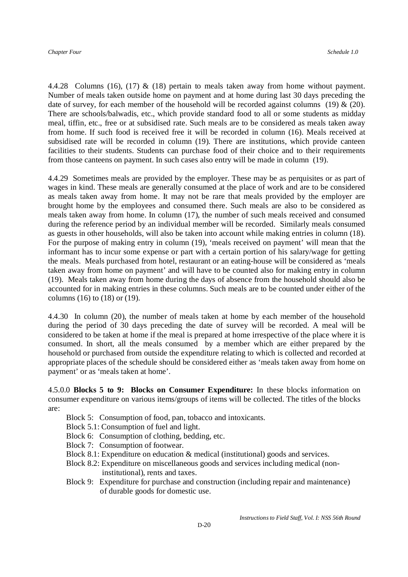4.4.28 Columns (16), (17) & (18) pertain to meals taken away from home without payment. Number of meals taken outside home on payment and at home during last 30 days preceding the date of survey, for each member of the household will be recorded against columns (19)  $\&$  (20). There are schools/balwadis, etc., which provide standard food to all or some students as midday meal, tiffin, etc., free or at subsidised rate. Such meals are to be considered as meals taken away from home. If such food is received free it will be recorded in column (16). Meals received at subsidised rate will be recorded in column (19). There are institutions, which provide canteen facilities to their students. Students can purchase food of their choice and to their requirements from those canteens on payment. In such cases also entry will be made in column (19).

4.4.29 Sometimes meals are provided by the employer. These may be as perquisites or as part of wages in kind. These meals are generally consumed at the place of work and are to be considered as meals taken away from home. It may not be rare that meals provided by the employer are brought home by the employees and consumed there. Such meals are also to be considered as meals taken away from home. In column (17), the number of such meals received and consumed during the reference period by an individual member will be recorded. Similarly meals consumed as guests in other households, will also be taken into account while making entries in column (18). For the purpose of making entry in column (19), 'meals received on payment' will mean that the informant has to incur some expense or part with a certain portion of his salary/wage for getting the meals. Meals purchased from hotel, restaurant or an eating-house will be considered as 'meals taken away from home on payment' and will have to be counted also for making entry in column (19). Meals taken away from home during the days of absence from the household should also be accounted for in making entries in these columns. Such meals are to be counted under either of the columns (16) to (18) or (19).

4.4.30 In column (20), the number of meals taken at home by each member of the household during the period of 30 days preceding the date of survey will be recorded. A meal will be considered to be taken at home if the meal is prepared at home irrespective of the place where it is consumed. In short, all the meals consumed by a member which are either prepared by the household or purchased from outside the expenditure relating to which is collected and recorded at appropriate places of the schedule should be considered either as 'meals taken away from home on payment' or as 'meals taken at home'.

4.5.0.0 **Blocks 5 to 9: Blocks on Consumer Expenditure:** In these blocks information on consumer expenditure on various items/groups of items will be collected. The titles of the blocks are:

- Block 5: Consumption of food, pan, tobacco and intoxicants.
- Block 5.1: Consumption of fuel and light.
- Block 6: Consumption of clothing, bedding, etc.
- Block 7: Consumption of footwear.
- Block 8.1: Expenditure on education & medical (institutional) goods and services.
- Block 8.2: Expenditure on miscellaneous goods and services including medical (non institutional), rents and taxes.
- Block 9: Expenditure for purchase and construction (including repair and maintenance) of durable goods for domestic use.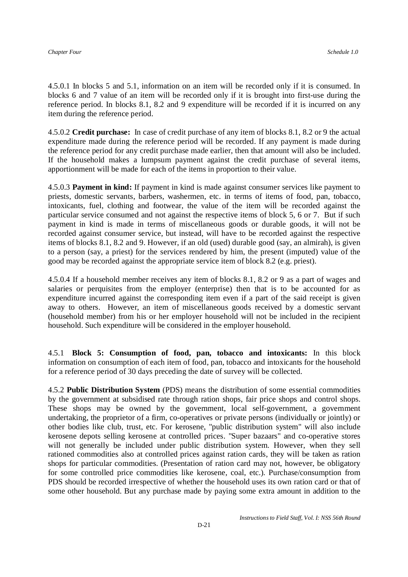4.5.0.1 In blocks 5 and 5.1, information on an item will be recorded only if it is consumed. In blocks 6 and 7 value of an item will be recorded only if it is brought into first-use during the reference period. In blocks 8.1, 8.2 and 9 expenditure will be recorded if it is incurred on any item during the reference period.

4.5.0.2 **Credit purchase:** In case of credit purchase of any item of blocks 8.1, 8.2 or 9 the actual expenditure made during the reference period will be recorded. If any payment is made during the reference period for any credit purchase made earlier, then that amount will also be included. If the household makes a lumpsum payment against the credit purchase of several items, apportionment will be made for each of the items in proportion to their value.

4.5.0.3 **Payment in kind:** If payment in kind is made against consumer services like payment to priests, domestic servants, barbers, washermen, etc. in terms of items of food, pan, tobacco, intoxicants, fuel, clothing and footwear, the value of the item will be recorded against the particular service consumed and not against the respective items of block 5, 6 or 7. But if such payment in kind is made in terms of miscellaneous goods or durable goods, it will not be recorded against consumer service, but instead, will have to be recorded against the respective items of blocks 8.1, 8.2 and 9. However, if an old (used) durable good (say, an almirah), is given to a person (say, a priest) for the services rendered by him, the present (imputed) value of the good may be recorded against the appropriate service item of block 8.2 (e.g. priest).

4.5.0.4 If a household member receives any item of blocks 8.1, 8.2 or 9 as a part of wages and salaries or perquisites from the employer (enterprise) then that is to be accounted for as expenditure incurred against the corresponding item even if a part of the said receipt is given away to others. However, an item of miscellaneous goods received by a domestic servant (household member) from his or her employer household will not be included in the recipient household. Such expenditure will be considered in the employer household.

4.5.1 **Block 5: Consumption of food, pan, tobacco and intoxicants:** In this block information on consumption of each item of food, pan, tobacco and intoxicants for the household for a reference period of 30 days preceding the date of survey will be collected.

4.5.2 **Public Distribution System** (PDS) means the distribution of some essential commodities by the government at subsidised rate through ration shops, fair price shops and control shops. These shops may be owned by the government, local self-government, a government undertaking, the proprietor of a firm, co-operatives or private persons (individually or jointly) or other bodies like club, trust, etc. For kerosene, "public distribution system" will also include kerosene depots selling kerosene at controlled prices. "Super bazaars" and co-operative stores will not generally be included under public distribution system. However, when they sell rationed commodities also at controlled prices against ration cards, they will be taken as ration shops for particular commodities. (Presentation of ration card may not, however, be obligatory for some controlled price commodities like kerosene, coal, etc.). Purchase/consumption from PDS should be recorded irrespective of whether the household uses its own ration card or that of some other household. But any purchase made by paying some extra amount in addition to the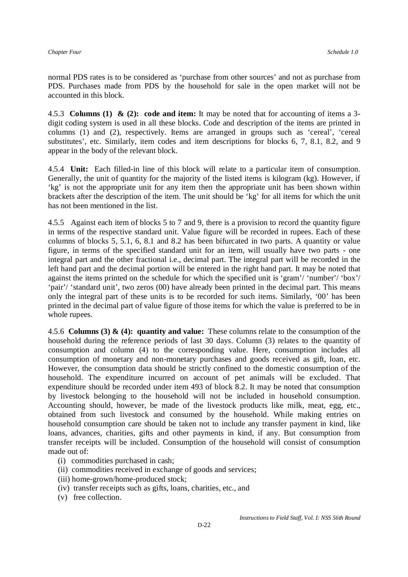normal PDS rates is to be considered as 'purchase from other sources' and not as purchase from PDS. Purchases made from PDS by the household for sale in the open market will not be accounted in this block.

4.5.3 **Columns (1) & (2): code and item:** It may be noted that for accounting of items a 3 digit coding system is used in all these blocks. Code and description of the items are printed in columns (1) and (2), respectively. Items are arranged in groups such as 'cereal', 'cereal substitutes', etc. Similarly, item codes and item descriptions for blocks 6, 7, 8.1, 8.2, and 9 appear in the body of the relevant block.

4.5.4 **Unit:** Each filled-in line of this block will relate to a particular item of consumption. Generally, the unit of quantity for the majority of the listed items is kilogram (kg). However, if 'kg' is not the appropriate unit for any item then the appropriate unit has been shown within brackets after the description of the item. The unit should be 'kg' for all items for which the unit has not been mentioned in the list.

4.5.5 Against each item of blocks 5 to 7 and 9, there is a provision to record the quantity figure in terms of the respective standard unit. Value figure will be recorded in rupees. Each of these columns of blocks 5, 5.1, 6, 8.1 and 8.2 has been bifurcated in two parts. A quantity or value figure, in terms of the specified standard unit for an item, will usually have two parts - one integral part and the other fractional i.e., decimal part. The integral part will be recorded in the left hand part and the decimal portion will be entered in the right hand part. It may be noted that against the items printed on the schedule for which the specified unit is 'gram'/ 'number'/ 'box'/ 'pair'/ 'standard unit', two zeros (00) have already been printed in the decimal part. This means only the integral part of these units is to be recorded for such items. Similarly, '00' has been printed in the decimal part of value figure of those items for which the value is preferred to be in whole rupees.

4.5.6 **Columns (3) & (4): quantity and value:** These columns relate to the consumption of the household during the reference periods of last 30 days. Column (3) relates to the quantity of consumption and column (4) to the corresponding value. Here, consumption includes all consumption of monetary and non-monetary purchases and goods received as gift, loan, etc. However, the consumption data should be strictly confined to the domestic consumption of the household. The expenditure incurred on account of pet animals will be excluded. That expenditure should be recorded under item 493 of block 8.2. It may be noted that consumption by livestock belonging to the household will not be included in household consumption. Accounting should, however, be made of the livestock products like milk, meat, egg, etc., obtained from such livestock and consumed by the household. While making entries on household consumption care should be taken not to include any transfer payment in kind, like loans, advances, charities, gifts and other payments in kind, if any. But consumption from transfer receipts will be included. Consumption of the household will consist of consumption made out of:

- (i) commodities purchased in cash;
- (ii) commodities received in exchange of goods and services;
- (iii) home-grown/home-produced stock;
- (iv) transfer receipts such as gifts, loans, charities, etc., and
- (v) free collection.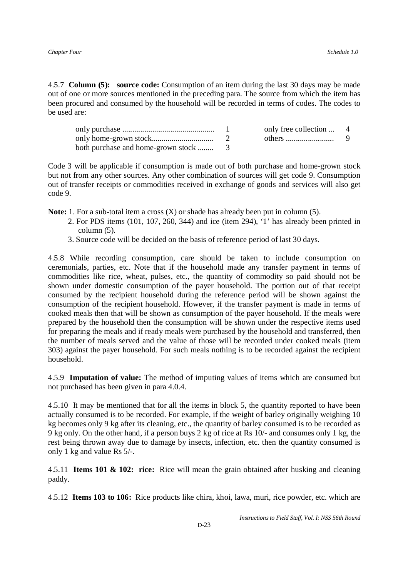4.5.7 **Column (5): source code:** Consumption of an item during the last 30 days may be made out of one or more sources mentioned in the preceding para. The source from which the item has been procured and consumed by the household will be recorded in terms of codes. The codes to be used are:

|  | only free collection  4 |  |
|--|-------------------------|--|
|  |                         |  |
|  |                         |  |

Code 3 will be applicable if consumption is made out of both purchase and home-grown stock but not from any other sources. Any other combination of sources will get code 9. Consumption out of transfer receipts or commodities received in exchange of goods and services will also get code 9.

**Note:** 1. For a sub-total item a cross (X) or shade has already been put in column (5).

- 2. For PDS items (101, 107, 260, 344) and ice (item 294), '1' has already been printed in column (5).
- 3. Source code will be decided on the basis of reference period of last 30 days.

4.5.8 While recording consumption, care should be taken to include consumption on ceremonials, parties, etc. Note that if the household made any transfer payment in terms of commodities like rice, wheat, pulses, etc., the quantity of commodity so paid should not be shown under domestic consumption of the payer household. The portion out of that receipt consumed by the recipient household during the reference period will be shown against the consumption of the recipient household. However, if the transfer payment is made in terms of cooked meals then that will be shown as consumption of the payer household. If the meals were prepared by the household then the consumption will be shown under the respective items used for preparing the meals and if ready meals were purchased by the household and transferred, then the number of meals served and the value of those will be recorded under cooked meals (item 303) against the payer household. For such meals nothing is to be recorded against the recipient household.

4.5.9 **Imputation of value:** The method of imputing values of items which are consumed but not purchased has been given in para 4.0.4.

4.5.10 It may be mentioned that for all the items in block 5, the quantity reported to have been actually consumed is to be recorded. For example, if the weight of barley originally weighing 10 kg becomes only 9 kg after its cleaning, etc., the quantity of barley consumed is to be recorded as 9 kg only. On the other hand, if a person buys 2 kg of rice at Rs 10/- and consumes only 1 kg, the rest being thrown away due to damage by insects, infection, etc. then the quantity consumed is only 1 kg and value Rs 5/-.

4.5.11 **Items 101 & 102: rice:** Rice will mean the grain obtained after husking and cleaning paddy.

4.5.12 **Items 103 to 106:** Rice products like chira, khoi, lawa, muri, rice powder, etc. which are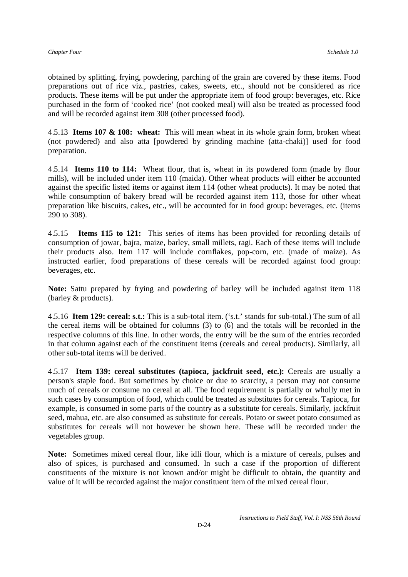obtained by splitting, frying, powdering, parching of the grain are covered by these items. Food preparations out of rice viz., pastries, cakes, sweets, etc., should not be considered as rice products. These items will be put under the appropriate item of food group: beverages, etc. Rice purchased in the form of 'cooked rice' (not cooked meal) will also be treated as processed food and will be recorded against item 308 (other processed food).

4.5.13 **Items 107 & 108: wheat:** This will mean wheat in its whole grain form, broken wheat (not powdered) and also atta [powdered by grinding machine (atta-chaki)] used for food preparation.

4.5.14 **Items 110 to 114:** Wheat flour, that is, wheat in its powdered form (made by flour mills), will be included under item 110 (maida). Other wheat products will either be accounted against the specific listed items or against item 114 (other wheat products). It may be noted that while consumption of bakery bread will be recorded against item 113, those for other wheat preparation like biscuits, cakes, etc., will be accounted for in food group: beverages, etc. (items 290 to 308).

4.5.15 **Items 115 to 121:** This series of items has been provided for recording details of consumption of jowar, bajra, maize, barley, small millets, ragi. Each of these items will include their products also. Item 117 will include cornflakes, pop-corn, etc. (made of maize). As instructed earlier, food preparations of these cereals will be recorded against food group: beverages, etc.

**Note:** Sattu prepared by frying and powdering of barley will be included against item 118 (barley & products).

4.5.16 **Item 129: cereal: s.t.:** This is a sub-total item. ('s.t.' stands for sub-total.) The sum of all the cereal items will be obtained for columns (3) to (6) and the totals will be recorded in the respective columns of this line. In other words, the entry will be the sum of the entries recorded in that column against each of the constituent items (cereals and cereal products). Similarly, all other sub-total items will be derived.

4.5.17 **Item 139: cereal substitutes (tapioca, jackfruit seed, etc.):** Cereals are usually a person's staple food. But sometimes by choice or due to scarcity, a person may not consume much of cereals or consume no cereal at all. The food requirement is partially or wholly met in such cases by consumption of food, which could be treated as substitutes for cereals. Tapioca, for example, is consumed in some parts of the country as a substitute for cereals. Similarly, jackfruit seed, mahua, etc. are also consumed as substitute for cereals. Potato or sweet potato consumed as substitutes for cereals will not however be shown here. These will be recorded under the vegetables group.

**Note:** Sometimes mixed cereal flour, like idli flour, which is a mixture of cereals, pulses and also of spices, is purchased and consumed. In such a case if the proportion of different constituents of the mixture is not known and/or might be difficult to obtain, the quantity and value of it will be recorded against the major constituent item of the mixed cereal flour.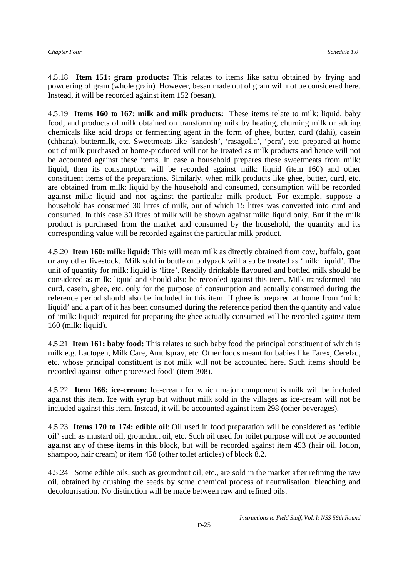4.5.18 **Item 151: gram products:** This relates to items like sattu obtained by frying and powdering of gram (whole grain). However, besan made out of gram will not be considered here. Instead, it will be recorded against item 152 (besan).

4.5.19 **Items 160 to 167: milk and milk products:** These items relate to milk: liquid, baby food, and products of milk obtained on transforming milk by heating, churning milk or adding chemicals like acid drops or fermenting agent in the form of ghee, butter, curd (dahi), casein (chhana), buttermilk, etc. Sweetmeats like 'sandesh', 'rasagolla', 'pera', etc. prepared at home out of milk purchased or home-produced will not be treated as milk products and hence will not be accounted against these items. In case a household prepares these sweetmeats from milk: liquid, then its consumption will be recorded against milk: liquid (item 160) and other constituent items of the preparations. Similarly, when milk products like ghee, butter, curd, etc. are obtained from milk: liquid by the household and consumed, consumption will be recorded against milk: liquid and not against the particular milk product. For example, suppose a household has consumed 30 litres of milk, out of which 15 litres was converted into curd and consumed. In this case 30 litres of milk will be shown against milk: liquid only. But if the milk product is purchased from the market and consumed by the household, the quantity and its corresponding value will be recorded against the particular milk product.

4.5.20 **Item 160: milk: liquid:** This will mean milk as directly obtained from cow, buffalo, goat or any other livestock. Milk sold in bottle or polypack will also be treated as 'milk: liquid'. The unit of quantity for milk: liquid is 'litre'. Readily drinkable flavoured and bottled milk should be considered as milk: liquid and should also be recorded against this item. Milk transformed into curd, casein, ghee, etc. only for the purpose of consumption and actually consumed during the reference period should also be included in this item. If ghee is prepared at home from 'milk: liquid' and a part of it has been consumed during the reference period then the quantity and value of 'milk: liquid' required for preparing the ghee actually consumed will be recorded against item 160 (milk: liquid).

4.5.21 **Item 161: baby food:** This relates to such baby food the principal constituent of which is milk e.g. Lactogen, Milk Care, Amulspray, etc. Other foods meant for babies like Farex, Cerelac, etc. whose principal constituent is not milk will not be accounted here. Such items should be recorded against 'other processed food' (item 308).

4.5.22 **Item 166: ice-cream:** Ice-cream for which major component is milk will be included against this item. Ice with syrup but without milk sold in the villages as ice-cream will not be included against this item. Instead, it will be accounted against item 298 (other beverages).

4.5.23 **Items 170 to 174: edible oil**: Oil used in food preparation will be considered as 'edible oil' such as mustard oil, groundnut oil, etc. Such oil used for toilet purpose will not be accounted against any of these items in this block, but will be recorded against item 453 (hair oil, lotion, shampoo, hair cream) or item 458 (other toilet articles) of block 8.2.

4.5.24 Some edible oils, such as groundnut oil, etc., are sold in the market after refining the raw oil, obtained by crushing the seeds by some chemical process of neutralisation, bleaching and decolourisation. No distinction will be made between raw and refined oils.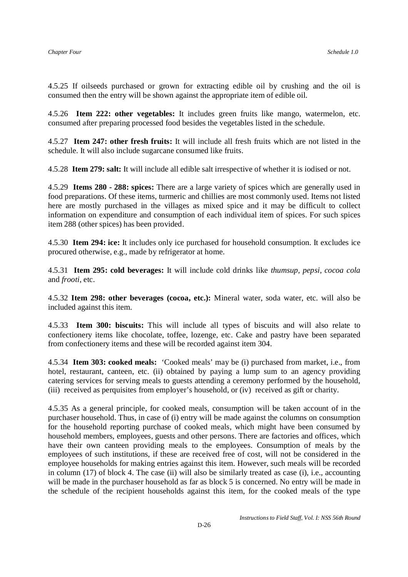4.5.25 If oilseeds purchased or grown for extracting edible oil by crushing and the oil is consumed then the entry will be shown against the appropriate item of edible oil.

4.5.26 **Item 222: other vegetables:** It includes green fruits like mango, watermelon, etc. consumed after preparing processed food besides the vegetables listed in the schedule.

4.5.27 **Item 247: other fresh fruits:** It will include all fresh fruits which are not listed in the schedule. It will also include sugarcane consumed like fruits.

4.5.28 **Item 279: salt:** It will include all edible salt irrespective of whether it is iodised or not.

4.5.29 **Items 280 - 288: spices:** There are a large variety of spices which are generally used in food preparations. Of these items, turmeric and chillies are most commonly used. Items not listed here are mostly purchased in the villages as mixed spice and it may be difficult to collect information on expenditure and consumption of each individual item of spices. For such spices item 288 (other spices) has been provided.

4.5.30 **Item 294: ice:** It includes only ice purchased for household consumption. It excludes ice procured otherwise, e.g., made by refrigerator at home.

4.5.31 **Item 295: cold beverages:** It will include cold drinks like *thumsup, pepsi, cocoa cola*  and *frooti*, etc.

4.5.32 **Item 298: other beverages (cocoa, etc.):** Mineral water, soda water, etc. will also be included against this item.

4.5.33 **Item 300: biscuits:** This will include all types of biscuits and will also relate to confectionery items like chocolate, toffee, lozenge, etc. Cake and pastry have been separated from confectionery items and these will be recorded against item 304.

4.5.34 **Item 303: cooked meals:** 'Cooked meals' may be (i) purchased from market, i.e., from hotel, restaurant, canteen, etc. (ii) obtained by paying a lump sum to an agency providing catering services for serving meals to guests attending a ceremony performed by the household, (iii) received as perquisites from employer's household, or (iv) received as gift or charity.

4.5.35 As a general principle, for cooked meals, consumption will be taken account of in the purchaser household. Thus, in case of (i) entry will be made against the columns on consumption for the household reporting purchase of cooked meals, which might have been consumed by household members, employees, guests and other persons. There are factories and offices, which have their own canteen providing meals to the employees. Consumption of meals by the employees of such institutions, if these are received free of cost, will not be considered in the employee households for making entries against this item. However, such meals will be recorded in column (17) of block 4. The case (ii) will also be similarly treated as case (i), i.e., accounting will be made in the purchaser household as far as block 5 is concerned. No entry will be made in the schedule of the recipient households against this item, for the cooked meals of the type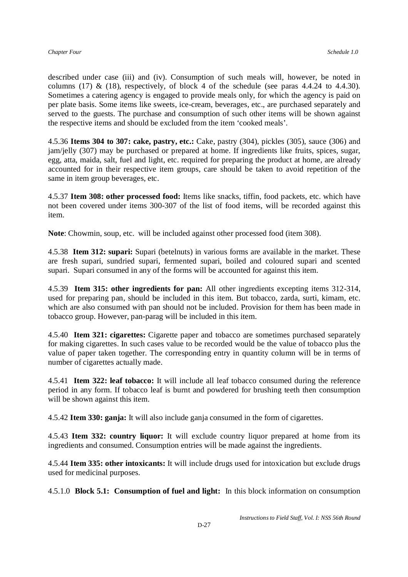described under case (iii) and (iv). Consumption of such meals will, however, be noted in columns (17) & (18), respectively, of block 4 of the schedule (see paras  $4.4.24$  to  $4.4.30$ ). Sometimes a catering agency is engaged to provide meals only, for which the agency is paid on per plate basis. Some items like sweets, ice-cream, beverages, etc., are purchased separately and served to the guests. The purchase and consumption of such other items will be shown against the respective items and should be excluded from the item 'cooked meals'.

4.5.36 **Items 304 to 307: cake, pastry, etc.:** Cake, pastry (304), pickles (305), sauce (306) and jam/jelly (307) may be purchased or prepared at home. If ingredients like fruits, spices, sugar, egg, atta, maida, salt, fuel and light, etc. required for preparing the product at home, are already accounted for in their respective item groups, care should be taken to avoid repetition of the same in item group beverages, etc.

4.5.37 **Item 308: other processed food:** Items like snacks, tiffin, food packets, etc. which have not been covered under items 300-307 of the list of food items, will be recorded against this item.

**Note**: Chowmin, soup, etc. will be included against other processed food (item 308).

4.5.38 **Item 312: supari:** Supari (betelnuts) in various forms are available in the market. These are fresh supari, sundried supari, fermented supari, boiled and coloured supari and scented supari. Supari consumed in any of the forms will be accounted for against this item.

4.5.39 **Item 315: other ingredients for pan:** All other ingredients excepting items 312-314, used for preparing pan, should be included in this item. But tobacco, zarda, surti, kimam, etc. which are also consumed with pan should not be included. Provision for them has been made in tobacco group. However, pan-parag will be included in this item.

4.5.40 **Item 321: cigarettes:** Cigarette paper and tobacco are sometimes purchased separately for making cigarettes. In such cases value to be recorded would be the value of tobacco plus the value of paper taken together. The corresponding entry in quantity column will be in terms of number of cigarettes actually made.

4.5.41 **Item 322: leaf tobacco:** It will include all leaf tobacco consumed during the reference period in any form. If tobacco leaf is burnt and powdered for brushing teeth then consumption will be shown against this item.

4.5.42 **Item 330: ganja:** It will also include ganja consumed in the form of cigarettes.

4.5.43 **Item 332: country liquor:** It will exclude country liquor prepared at home from its ingredients and consumed. Consumption entries will be made against the ingredients.

4.5.44 **Item 335: other intoxicants:** It will include drugs used for intoxication but exclude drugs used for medicinal purposes.

4.5.1.0 **Block 5.1: Consumption of fuel and light:** In this block information on consumption

*Instructions to Field Staff, Vol. I: NSS 56th Round*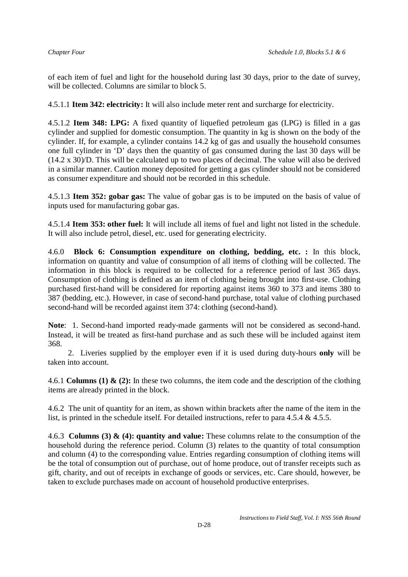of each item of fuel and light for the household during last 30 days, prior to the date of survey, will be collected. Columns are similar to block 5.

4.5.1.1 **Item 342: electricity:** It will also include meter rent and surcharge for electricity.

4.5.1.2 **Item 348: LPG:** A fixed quantity of liquefied petroleum gas (LPG) is filled in a gas cylinder and supplied for domestic consumption. The quantity in kg is shown on the body of the cylinder. If, for example, a cylinder contains 14.2 kg of gas and usually the household consumes one full cylinder in 'D' days then the quantity of gas consumed during the last 30 days will be (14.2 x 30)/D. This will be calculated up to two places of decimal. The value will also be derived in a similar manner. Caution money deposited for getting a gas cylinder should not be considered as consumer expenditure and should not be recorded in this schedule.

4.5.1.3 **Item 352: gobar gas:** The value of gobar gas is to be imputed on the basis of value of inputs used for manufacturing gobar gas.

4.5.1.4 **Item 353: other fuel:** It will include all items of fuel and light not listed in the schedule. It will also include petrol, diesel, etc. used for generating electricity.

4.6.0 **Block 6: Consumption expenditure on clothing, bedding, etc. :** In this block, information on quantity and value of consumption of all items of clothing will be collected. The information in this block is required to be collected for a reference period of last 365 days. Consumption of clothing is defined as an item of clothing being brought into first-use. Clothing purchased first-hand will be considered for reporting against items 360 to 373 and items 380 to 387 (bedding, etc.). However, in case of second-hand purchase, total value of clothing purchased second-hand will be recorded against item 374: clothing (second-hand).

**Note**: 1. Second-hand imported ready-made garments will not be considered as second-hand. Instead, it will be treated as first-hand purchase and as such these will be included against item 368.

 2. Liveries supplied by the employer even if it is used during duty-hours **only** will be taken into account.

4.6.1 **Columns (1) & (2):** In these two columns, the item code and the description of the clothing items are already printed in the block.

4.6.2 The unit of quantity for an item, as shown within brackets after the name of the item in the list, is printed in the schedule itself. For detailed instructions, refer to para 4.5.4 & 4.5.5.

4.6.3 **Columns (3) & (4): quantity and value:** These columns relate to the consumption of the household during the reference period. Column (3) relates to the quantity of total consumption and column (4) to the corresponding value. Entries regarding consumption of clothing items will be the total of consumption out of purchase, out of home produce, out of transfer receipts such as gift, charity, and out of receipts in exchange of goods or services, etc. Care should, however, be taken to exclude purchases made on account of household productive enterprises.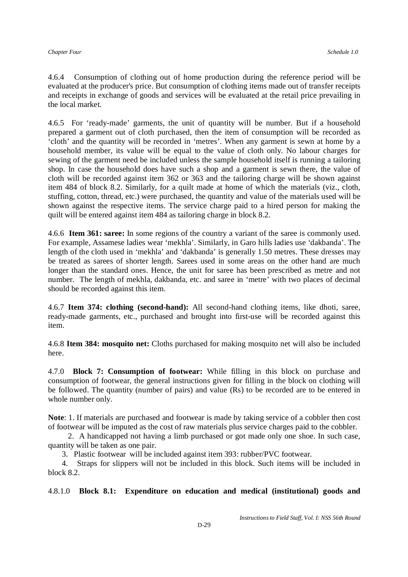4.6.4 Consumption of clothing out of home production during the reference period will be evaluated at the producer's price. But consumption of clothing items made out of transfer receipts and receipts in exchange of goods and services will be evaluated at the retail price prevailing in the local market.

4.6.5 For 'ready-made' garments, the unit of quantity will be number. But if a household prepared a garment out of cloth purchased, then the item of consumption will be recorded as 'cloth' and the quantity will be recorded in 'metres'. When any garment is sewn at home by a household member, its value will be equal to the value of cloth only. No labour charges for sewing of the garment need be included unless the sample household itself is running a tailoring shop. In case the household does have such a shop and a garment is sewn there, the value of cloth will be recorded against item 362 or 363 and the tailoring charge will be shown against item 484 of block 8.2. Similarly, for a quilt made at home of which the materials (viz., cloth, stuffing, cotton, thread, etc.) were purchased, the quantity and value of the materials used will be shown against the respective items. The service charge paid to a hired person for making the quilt will be entered against item 484 as tailoring charge in block 8.2.

4.6.6 **Item 361: saree:** In some regions of the country a variant of the saree is commonly used. For example, Assamese ladies wear 'mekhla'. Similarly, in Garo hills ladies use 'dakbanda'. The length of the cloth used in 'mekhla' and 'dakbanda' is generally 1.50 metres. These dresses may be treated as sarees of shorter length. Sarees used in some areas on the other hand are much longer than the standard ones. Hence, the unit for saree has been prescribed as metre and not number. The length of mekhla, dakbanda, etc. and saree in 'metre' with two places of decimal should be recorded against this item.

4.6.7 **Item 374: clothing (second-hand):** All second-hand clothing items, like dhoti, saree, ready-made garments, etc., purchased and brought into first-use will be recorded against this item.

4.6.8 **Item 384: mosquito net:** Cloths purchased for making mosquito net will also be included here.

4.7.0 **Block 7: Consumption of footwear:** While filling in this block on purchase and consumption of footwear, the general instructions given for filling in the block on clothing will be followed. The quantity (number of pairs) and value (Rs) to be recorded are to be entered in whole number only.

**Note**: 1. If materials are purchased and footwear is made by taking service of a cobbler then cost of footwear will be imputed as the cost of raw materials plus service charges paid to the cobbler.

 2. A handicapped not having a limb purchased or got made only one shoe. In such case, quantity will be taken as one pair.

3. Plastic footwear will be included against item 393: rubber/PVC footwear.

 4. Straps for slippers will not be included in this block. Such items will be included in block 8.2.

4.8.1.0 **Block 8.1: Expenditure on education and medical (institutional) goods and** 

*Instructions to Field Staff, Vol. I: NSS 56th Round*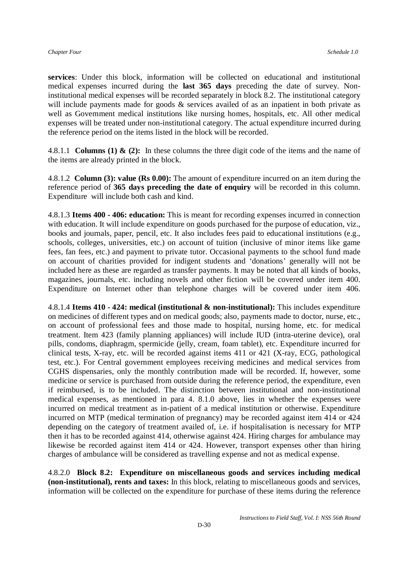**services**: Under this block, information will be collected on educational and institutional medical expenses incurred during the **last 365 days** preceding the date of survey. Noninstitutional medical expenses will be recorded separately in block 8.2. The institutional category will include payments made for goods & services availed of as an inpatient in both private as well as Government medical institutions like nursing homes, hospitals, etc. All other medical expenses will be treated under non-institutional category. The actual expenditure incurred during the reference period on the items listed in the block will be recorded.

4.8.1.1 **Columns (1) & (2):** In these columns the three digit code of the items and the name of the items are already printed in the block.

4.8.1.2 **Column (3): value (Rs 0.00):** The amount of expenditure incurred on an item during the reference period of **365 days preceding the date of enquiry** will be recorded in this column. Expenditure will include both cash and kind.

4.8.1.3 **Items 400 - 406: education:** This is meant for recording expenses incurred in connection with education. It will include expenditure on goods purchased for the purpose of education, viz., books and journals, paper, pencil, etc. It also includes fees paid to educational institutions (e.g., schools, colleges, universities, etc.) on account of tuition (inclusive of minor items like game fees, fan fees, etc.) and payment to private tutor. Occasional payments to the school fund made on account of charities provided for indigent students and 'donations' generally will not be included here as these are regarded as transfer payments. It may be noted that all kinds of books, magazines, journals, etc. including novels and other fiction will be covered under item 400. Expenditure on Internet other than telephone charges will be covered under item 406.

4.8.1.4 **Items 410 - 424: medical (institutional & non-institutional):** This includes expenditure on medicines of different types and on medical goods; also, payments made to doctor, nurse, etc., on account of professional fees and those made to hospital, nursing home, etc. for medical treatment. Item 423 (family planning appliances) will include IUD (intra-uterine device), oral pills, condoms, diaphragm, spermicide (jelly, cream, foam tablet), etc. Expenditure incurred for clinical tests, X-ray, etc. will be recorded against items 411 or 421 (X-ray, ECG, pathological test, etc.). For Central government employees receiving medicines and medical services from CGHS dispensaries, only the monthly contribution made will be recorded. If, however, some medicine or service is purchased from outside during the reference period, the expenditure, even if reimbursed, is to be included. The distinction between institutional and non-institutional medical expenses, as mentioned in para 4. 8.1.0 above, lies in whether the expenses were incurred on medical treatment as in-patient of a medical institution or otherwise. Expenditure incurred on MTP (medical termination of pregnancy) may be recorded against item 414 or 424 depending on the category of treatment availed of, i.e. if hospitalisation is necessary for MTP then it has to be recorded against 414, otherwise against 424. Hiring charges for ambulance may likewise be recorded against item 414 or 424. However, transport expenses other than hiring charges of ambulance will be considered as travelling expense and not as medical expense.

4.8.2.0 **Block 8.2: Expenditure on miscellaneous goods and services including medical (non-institutional), rents and taxes:** In this block, relating to miscellaneous goods and services, information will be collected on the expenditure for purchase of these items during the reference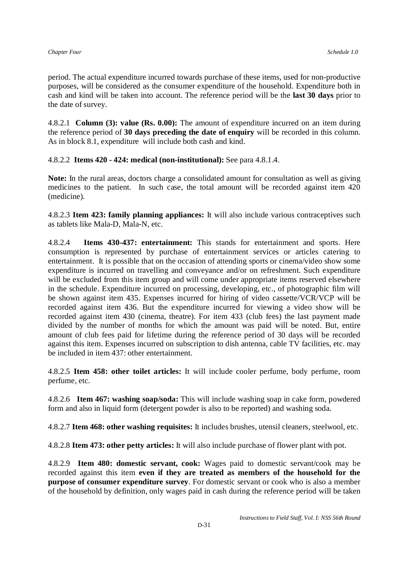period. The actual expenditure incurred towards purchase of these items, used for non-productive purposes, will be considered as the consumer expenditure of the household. Expenditure both in cash and kind will be taken into account. The reference period will be the **last 30 days** prior to the date of survey.

4.8.2.1 **Column (3): value (Rs. 0.00):** The amount of expenditure incurred on an item during the reference period of **30 days preceding the date of enquiry** will be recorded in this column. As in block 8.1, expenditure will include both cash and kind.

4.8.2.2 **Items 420 - 424: medical (non-institutional):** See para 4.8.1.4.

**Note:** In the rural areas, doctors charge a consolidated amount for consultation as well as giving medicines to the patient. In such case, the total amount will be recorded against item 420 (medicine).

4.8.2.3 **Item 423: family planning appliances:** It will also include various contraceptives such as tablets like Mala-D, Mala-N, etc.

4.8.2.4 **Items 430-437: entertainment:** This stands for entertainment and sports. Here consumption is represented by purchase of entertainment services or articles catering to entertainment. It is possible that on the occasion of attending sports or cinema/video show some expenditure is incurred on travelling and conveyance and/or on refreshment. Such expenditure will be excluded from this item group and will come under appropriate items reserved elsewhere in the schedule. Expenditure incurred on processing, developing, etc., of photographic film will be shown against item 435. Expenses incurred for hiring of video cassette/VCR/VCP will be recorded against item 436. But the expenditure incurred for viewing a video show will be recorded against item 430 (cinema, theatre). For item 433 (club fees) the last payment made divided by the number of months for which the amount was paid will be noted. But, entire amount of club fees paid for lifetime during the reference period of 30 days will be recorded against this item. Expenses incurred on subscription to dish antenna, cable TV facilities, etc. may be included in item 437: other entertainment.

4.8.2.5 **Item 458: other toilet articles:** It will include cooler perfume, body perfume, room perfume, etc.

4.8.2.6 **Item 467: washing soap/soda:** This will include washing soap in cake form, powdered form and also in liquid form (detergent powder is also to be reported) and washing soda.

4.8.2.7 **Item 468: other washing requisites:** It includes brushes, utensil cleaners, steelwool, etc.

4.8.2.8 **Item 473: other petty articles:** It will also include purchase of flower plant with pot.

4.8.2.9 **Item 480: domestic servant, cook:** Wages paid to domestic servant/cook may be recorded against this item **even if they are treated as members of the household for the purpose of consumer expenditure survey**. For domestic servant or cook who is also a member of the household by definition, only wages paid in cash during the reference period will be taken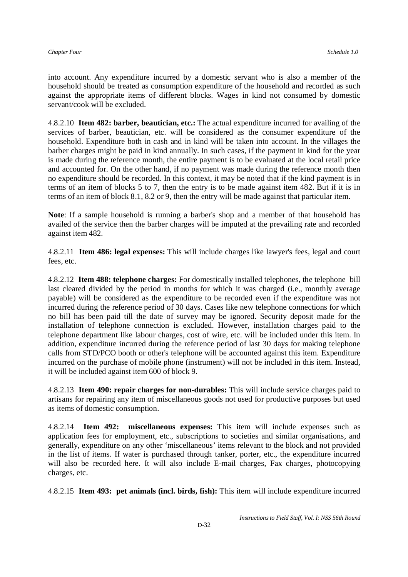into account. Any expenditure incurred by a domestic servant who is also a member of the household should be treated as consumption expenditure of the household and recorded as such against the appropriate items of different blocks. Wages in kind not consumed by domestic servant/cook will be excluded.

4.8.2.10 **Item 482: barber, beautician, etc.:** The actual expenditure incurred for availing of the services of barber, beautician, etc. will be considered as the consumer expenditure of the household. Expenditure both in cash and in kind will be taken into account. In the villages the barber charges might be paid in kind annually. In such cases, if the payment in kind for the year is made during the reference month, the entire payment is to be evaluated at the local retail price and accounted for. On the other hand, if no payment was made during the reference month then no expenditure should be recorded. In this context, it may be noted that if the kind payment is in terms of an item of blocks 5 to 7, then the entry is to be made against item 482. But if it is in terms of an item of block 8.1, 8.2 or 9, then the entry will be made against that particular item.

**Note**: If a sample household is running a barber's shop and a member of that household has availed of the service then the barber charges will be imputed at the prevailing rate and recorded against item 482.

4.8.2.11 **Item 486: legal expenses:** This will include charges like lawyer's fees, legal and court fees, etc.

4.8.2.12 **Item 488: telephone charges:** For domestically installed telephones, the telephone bill last cleared divided by the period in months for which it was charged (i.e., monthly average payable) will be considered as the expenditure to be recorded even if the expenditure was not incurred during the reference period of 30 days. Cases like new telephone connections for which no bill has been paid till the date of survey may be ignored. Security deposit made for the installation of telephone connection is excluded. However, installation charges paid to the telephone department like labour charges, cost of wire, etc. will be included under this item. In addition, expenditure incurred during the reference period of last 30 days for making telephone calls from STD/PCO booth or other's telephone will be accounted against this item. Expenditure incurred on the purchase of mobile phone (instrument) will not be included in this item. Instead, it will be included against item 600 of block 9.

4.8.2.13 **Item 490: repair charges for non-durables:** This will include service charges paid to artisans for repairing any item of miscellaneous goods not used for productive purposes but used as items of domestic consumption.

4.8.2.14 **Item 492: miscellaneous expenses:** This item will include expenses such as application fees for employment, etc., subscriptions to societies and similar organisations, and generally, expenditure on any other 'miscellaneous' items relevant to the block and not provided in the list of items. If water is purchased through tanker, porter, etc., the expenditure incurred will also be recorded here. It will also include E-mail charges, Fax charges, photocopying charges, etc.

4.8.2.15 **Item 493: pet animals (incl. birds, fish):** This item will include expenditure incurred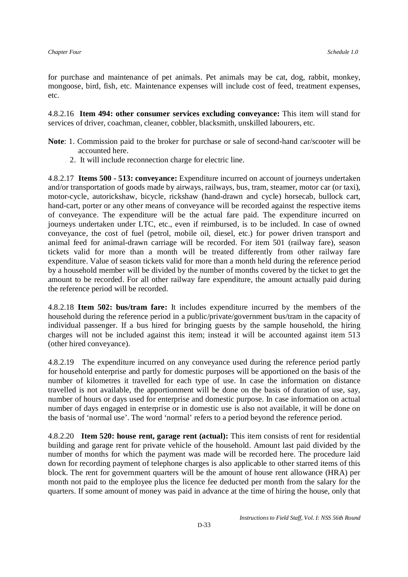for purchase and maintenance of pet animals. Pet animals may be cat, dog, rabbit, monkey, mongoose, bird, fish, etc. Maintenance expenses will include cost of feed, treatment expenses, etc.

4.8.2.16 **Item 494: other consumer services excluding conveyance:** This item will stand for services of driver, coachman, cleaner, cobbler, blacksmith, unskilled labourers, etc.

- **Note**: 1. Commission paid to the broker for purchase or sale of second-hand car/scooter will be accounted here.
	- 2. It will include reconnection charge for electric line.

4.8.2.17 **Items 500 - 513: conveyance:** Expenditure incurred on account of journeys undertaken and/or transportation of goods made by airways, railways, bus, tram, steamer, motor car (or taxi), motor-cycle, autorickshaw, bicycle, rickshaw (hand-drawn and cycle) horsecab, bullock cart, hand-cart, porter or any other means of conveyance will be recorded against the respective items of conveyance. The expenditure will be the actual fare paid. The expenditure incurred on journeys undertaken under LTC, etc., even if reimbursed, is to be included. In case of owned conveyance, the cost of fuel (petrol, mobile oil, diesel, etc.) for power driven transport and animal feed for animal-drawn carriage will be recorded. For item 501 (railway fare), season tickets valid for more than a month will be treated differently from other railway fare expenditure. Value of season tickets valid for more than a month held during the reference period by a household member will be divided by the number of months covered by the ticket to get the amount to be recorded. For all other railway fare expenditure, the amount actually paid during the reference period will be recorded.

4.8.2.18 **Item 502: bus/tram fare:** It includes expenditure incurred by the members of the household during the reference period in a public/private/government bus/tram in the capacity of individual passenger. If a bus hired for bringing guests by the sample household, the hiring charges will not be included against this item; instead it will be accounted against item 513 (other hired conveyance).

4.8.2.19 The expenditure incurred on any conveyance used during the reference period partly for household enterprise and partly for domestic purposes will be apportioned on the basis of the number of kilometres it travelled for each type of use. In case the information on distance travelled is not available, the apportionment will be done on the basis of duration of use, say, number of hours or days used for enterprise and domestic purpose. In case information on actual number of days engaged in enterprise or in domestic use is also not available, it will be done on the basis of 'normal use'. The word 'normal' refers to a period beyond the reference period.

4.8.2.20 **Item 520: house rent, garage rent (actual):** This item consists of rent for residential building and garage rent for private vehicle of the household. Amount last paid divided by the number of months for which the payment was made will be recorded here. The procedure laid down for recording payment of telephone charges is also applicable to other starred items of this block. The rent for government quarters will be the amount of house rent allowance (HRA) per month not paid to the employee plus the licence fee deducted per month from the salary for the quarters. If some amount of money was paid in advance at the time of hiring the house, only that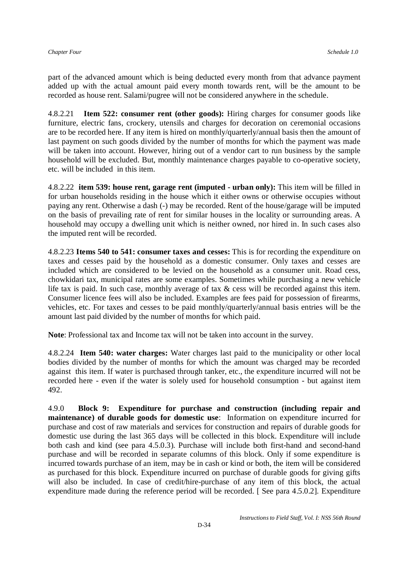part of the advanced amount which is being deducted every month from that advance payment added up with the actual amount paid every month towards rent, will be the amount to be recorded as house rent. Salami/pugree will not be considered anywhere in the schedule.

4.8.2.21 **Item 522: consumer rent (other goods):** Hiring charges for consumer goods like furniture, electric fans, crockery, utensils and charges for decoration on ceremonial occasions are to be recorded here. If any item is hired on monthly/quarterly/annual basis then the amount of last payment on such goods divided by the number of months for which the payment was made will be taken into account. However, hiring out of a vendor cart to run business by the sample household will be excluded. But, monthly maintenance charges payable to co-operative society, etc. will be included in this item.

4.8.2.22 **item 539: house rent, garage rent (imputed - urban only):** This item will be filled in for urban households residing in the house which it either owns or otherwise occupies without paying any rent. Otherwise a dash (-) may be recorded. Rent of the house/garage will be imputed on the basis of prevailing rate of rent for similar houses in the locality or surrounding areas. A household may occupy a dwelling unit which is neither owned, nor hired in. In such cases also the imputed rent will be recorded.

4.8.2.23 **Items 540 to 541: consumer taxes and cesses:** This is for recording the expenditure on taxes and cesses paid by the household as a domestic consumer. Only taxes and cesses are included which are considered to be levied on the household as a consumer unit. Road cess, chowkidari tax, municipal rates are some examples. Sometimes while purchasing a new vehicle life tax is paid. In such case, monthly average of tax & cess will be recorded against this item. Consumer licence fees will also be included. Examples are fees paid for possession of firearms, vehicles, etc. For taxes and cesses to be paid monthly/quarterly/annual basis entries will be the amount last paid divided by the number of months for which paid.

**Note**: Professional tax and Income tax will not be taken into account in the survey.

4.8.2.24 **Item 540: water charges:** Water charges last paid to the municipality or other local bodies divided by the number of months for which the amount was charged may be recorded against this item. If water is purchased through tanker, etc., the expenditure incurred will not be recorded here - even if the water is solely used for household consumption - but against item 492.

4.9.0 **Block 9: Expenditure for purchase and construction (including repair and maintenance) of durable goods for domestic use**: Information on expenditure incurred for purchase and cost of raw materials and services for construction and repairs of durable goods for domestic use during the last 365 days will be collected in this block. Expenditure will include both cash and kind (see para 4.5.0.3). Purchase will include both first-hand and second-hand purchase and will be recorded in separate columns of this block. Only if some expenditure is incurred towards purchase of an item, may be in cash or kind or both, the item will be considered as purchased for this block. Expenditure incurred on purchase of durable goods for giving gifts will also be included. In case of credit/hire-purchase of any item of this block, the actual expenditure made during the reference period will be recorded. [ See para 4.5.0.2]. Expenditure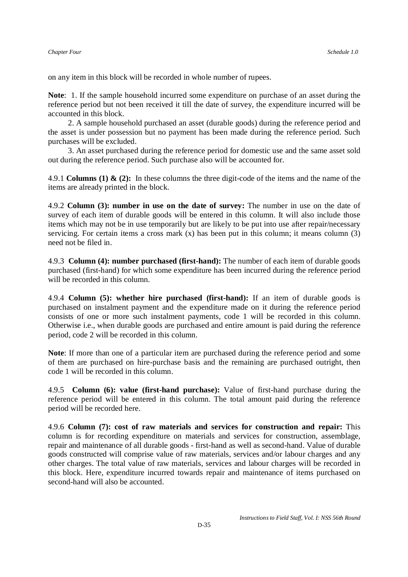on any item in this block will be recorded in whole number of rupees.

**Note**: 1. If the sample household incurred some expenditure on purchase of an asset during the reference period but not been received it till the date of survey, the expenditure incurred will be accounted in this block.

 2. A sample household purchased an asset (durable goods) during the reference period and the asset is under possession but no payment has been made during the reference period. Such purchases will be excluded.

 3. An asset purchased during the reference period for domestic use and the same asset sold out during the reference period. Such purchase also will be accounted for.

4.9.1 **Columns (1) & (2):** In these columns the three digit-code of the items and the name of the items are already printed in the block.

4.9.2 **Column (3): number in use on the date of survey:** The number in use on the date of survey of each item of durable goods will be entered in this column. It will also include those items which may not be in use temporarily but are likely to be put into use after repair/necessary servicing. For certain items a cross mark  $(x)$  has been put in this column; it means column  $(3)$ need not be filed in.

4.9.3 **Column (4): number purchased (first-hand):** The number of each item of durable goods purchased (first-hand) for which some expenditure has been incurred during the reference period will be recorded in this column.

4.9.4 **Column (5): whether hire purchased (first-hand):** If an item of durable goods is purchased on instalment payment and the expenditure made on it during the reference period consists of one or more such instalment payments, code 1 will be recorded in this column. Otherwise i.e., when durable goods are purchased and entire amount is paid during the reference period, code 2 will be recorded in this column.

**Note**: If more than one of a particular item are purchased during the reference period and some of them are purchased on hire-purchase basis and the remaining are purchased outright, then code 1 will be recorded in this column.

4.9.5 **Column (6): value (first-hand purchase):** Value of first-hand purchase during the reference period will be entered in this column. The total amount paid during the reference period will be recorded here.

4.9.6 **Column (7): cost of raw materials and services for construction and repair:** This column is for recording expenditure on materials and services for construction, assemblage, repair and maintenance of all durable goods - first-hand as well as second-hand. Value of durable goods constructed will comprise value of raw materials, services and/or labour charges and any other charges. The total value of raw materials, services and labour charges will be recorded in this block. Here, expenditure incurred towards repair and maintenance of items purchased on second-hand will also be accounted.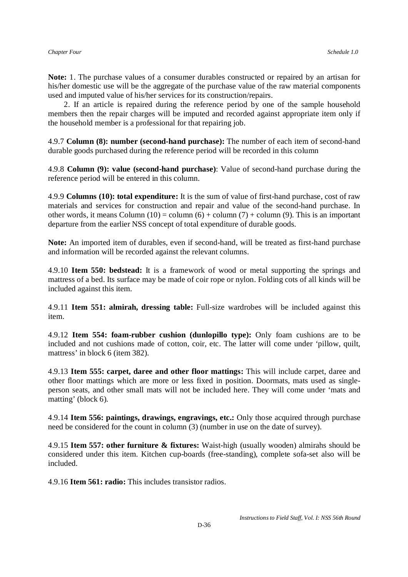**Note:** 1. The purchase values of a consumer durables constructed or repaired by an artisan for his/her domestic use will be the aggregate of the purchase value of the raw material components used and imputed value of his/her services for its construction/repairs.

 2. If an article is repaired during the reference period by one of the sample household members then the repair charges will be imputed and recorded against appropriate item only if the household member is a professional for that repairing job.

4.9.7 **Column (8): number (second-hand purchase):** The number of each item of second-hand durable goods purchased during the reference period will be recorded in this column

4.9.8 **Column (9): value (second-hand purchase)**: Value of second-hand purchase during the reference period will be entered in this column.

4.9.9 **Columns (10): total expenditure:** It is the sum of value of first-hand purchase, cost of raw materials and services for construction and repair and value of the second-hand purchase. In other words, it means Column  $(10) = \text{column} (6) + \text{column} (7) + \text{column} (9)$ . This is an important departure from the earlier NSS concept of total expenditure of durable goods.

**Note:** An imported item of durables, even if second-hand, will be treated as first-hand purchase and information will be recorded against the relevant columns.

4.9.10 **Item 550: bedstead:** It is a framework of wood or metal supporting the springs and mattress of a bed. Its surface may be made of coir rope or nylon. Folding cots of all kinds will be included against this item.

4.9.11 **Item 551: almirah, dressing table:** Full-size wardrobes will be included against this item.

4.9.12 **Item 554: foam-rubber cushion (dunlopillo type):** Only foam cushions are to be included and not cushions made of cotton, coir, etc. The latter will come under 'pillow, quilt, mattress' in block 6 (item 382).

4.9.13 **Item 555: carpet, daree and other floor mattings:** This will include carpet, daree and other floor mattings which are more or less fixed in position. Doormats, mats used as singleperson seats, and other small mats will not be included here. They will come under 'mats and matting' (block 6).

4.9.14 **Item 556: paintings, drawings, engravings, etc.:** Only those acquired through purchase need be considered for the count in column (3) (number in use on the date of survey).

4.9.15 **Item 557: other furniture & fixtures:** Waist-high (usually wooden) almirahs should be considered under this item. Kitchen cup-boards (free-standing), complete sofa-set also will be included.

4.9.16 **Item 561: radio:** This includes transistor radios.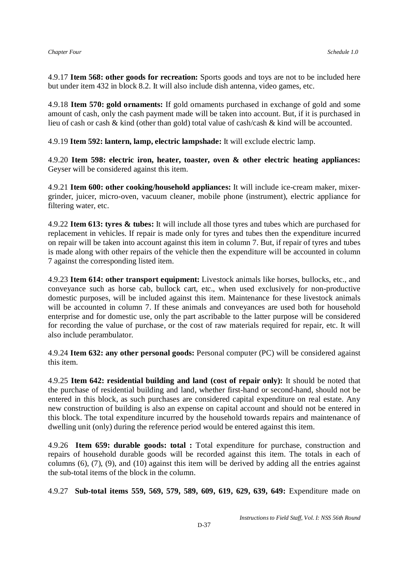4.9.17 **Item 568: other goods for recreation:** Sports goods and toys are not to be included here but under item 432 in block 8.2. It will also include dish antenna, video games, etc.

4.9.18 **Item 570: gold ornaments:** If gold ornaments purchased in exchange of gold and some amount of cash, only the cash payment made will be taken into account. But, if it is purchased in lieu of cash or cash & kind (other than gold) total value of cash/cash & kind will be accounted.

4.9.19 **Item 592: lantern, lamp, electric lampshade:** It will exclude electric lamp.

4.9.20 **Item 598: electric iron, heater, toaster, oven & other electric heating appliances:** Geyser will be considered against this item.

4.9.21 **Item 600: other cooking/household appliances:** It will include ice-cream maker, mixergrinder, juicer, micro-oven, vacuum cleaner, mobile phone (instrument), electric appliance for filtering water, etc.

4.9.22 **Item 613: tyres & tubes:** It will include all those tyres and tubes which are purchased for replacement in vehicles. If repair is made only for tyres and tubes then the expenditure incurred on repair will be taken into account against this item in column 7. But, if repair of tyres and tubes is made along with other repairs of the vehicle then the expenditure will be accounted in column 7 against the corresponding listed item.

4.9.23 **Item 614: other transport equipment:** Livestock animals like horses, bullocks, etc., and conveyance such as horse cab, bullock cart, etc., when used exclusively for non-productive domestic purposes, will be included against this item. Maintenance for these livestock animals will be accounted in column 7. If these animals and conveyances are used both for household enterprise and for domestic use, only the part ascribable to the latter purpose will be considered for recording the value of purchase, or the cost of raw materials required for repair, etc. It will also include perambulator.

4.9.24 **Item 632: any other personal goods:** Personal computer (PC) will be considered against this item.

4.9.25 **Item 642: residential building and land (cost of repair only):** It should be noted that the purchase of residential building and land, whether first-hand or second-hand, should not be entered in this block, as such purchases are considered capital expenditure on real estate. Any new construction of building is also an expense on capital account and should not be entered in this block. The total expenditure incurred by the household towards repairs and maintenance of dwelling unit (only) during the reference period would be entered against this item.

4.9.26 **Item 659: durable goods: total :** Total expenditure for purchase, construction and repairs of household durable goods will be recorded against this item. The totals in each of columns  $(6)$ ,  $(7)$ ,  $(9)$ , and  $(10)$  against this item will be derived by adding all the entries against the sub-total items of the block in the column.

4.9.27 **Sub-total items 559, 569, 579, 589, 609, 619, 629, 639, 649:** Expenditure made on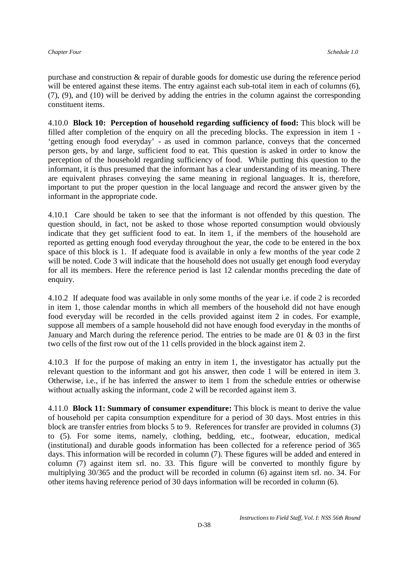purchase and construction & repair of durable goods for domestic use during the reference period will be entered against these items. The entry against each sub-total item in each of columns (6), (7), (9), and (10) will be derived by adding the entries in the column against the corresponding constituent items.

4.10.0 **Block 10: Perception of household regarding sufficiency of food:** This block will be filled after completion of the enquiry on all the preceding blocks. The expression in item 1 - 'getting enough food everyday' - as used in common parlance, conveys that the concerned person gets, by and large, sufficient food to eat. This question is asked in order to know the perception of the household regarding sufficiency of food. While putting this question to the informant, it is thus presumed that the informant has a clear understanding of its meaning. There are equivalent phrases conveying the same meaning in regional languages. It is, therefore, important to put the proper question in the local language and record the answer given by the informant in the appropriate code.

4.10.1 Care should be taken to see that the informant is not offended by this question. The question should, in fact, not be asked to those whose reported consumption would obviously indicate that they get sufficient food to eat. In item 1, if the members of the household are reported as getting enough food everyday throughout the year, the code to be entered in the box space of this block is 1. If adequate food is available in only a few months of the year code 2 will be noted. Code 3 will indicate that the household does not usually get enough food everyday for all its members. Here the reference period is last 12 calendar months preceding the date of enquiry.

4.10.2 If adequate food was available in only some months of the year i.e. if code 2 is recorded in item 1, those calendar months in which all members of the household did not have enough food everyday will be recorded in the cells provided against item 2 in codes. For example, suppose all members of a sample household did not have enough food everyday in the months of January and March during the reference period. The entries to be made are 01 & 03 in the first two cells of the first row out of the 11 cells provided in the block against item 2.

4.10.3 If for the purpose of making an entry in item 1, the investigator has actually put the relevant question to the informant and got his answer, then code 1 will be entered in item 3. Otherwise, i.e., if he has inferred the answer to item 1 from the schedule entries or otherwise without actually asking the informant, code 2 will be recorded against item 3.

4.11.0 **Block 11: Summary of consumer expenditure:** This block is meant to derive the value of household per capita consumption expenditure for a period of 30 days. Most entries in this block are transfer entries from blocks 5 to 9. References for transfer are provided in columns (3) to (5). For some items, namely, clothing, bedding, etc., footwear, education, medical (institutional) and durable goods information has been collected for a reference period of 365 days. This information will be recorded in column (7). These figures will be added and entered in column (7) against item srl. no. 33. This figure will be converted to monthly figure by multiplying 30/365 and the product will be recorded in column (6) against item srl. no. 34. For other items having reference period of 30 days information will be recorded in column (6).